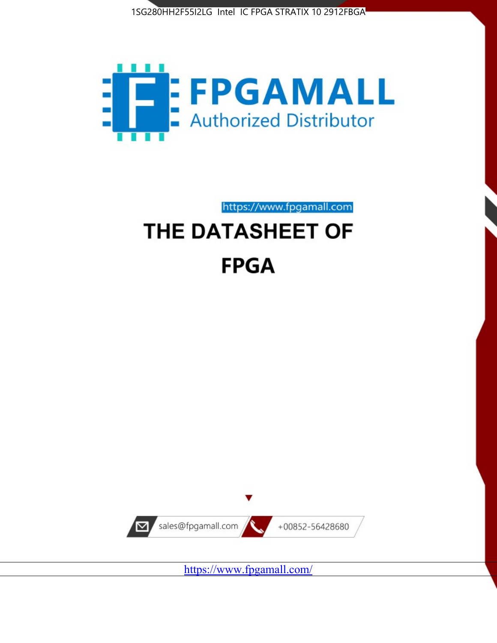



https://www.fpgamall.com

# THE DATASHEET OF **FPGA**



<https://www.fpgamall.com/>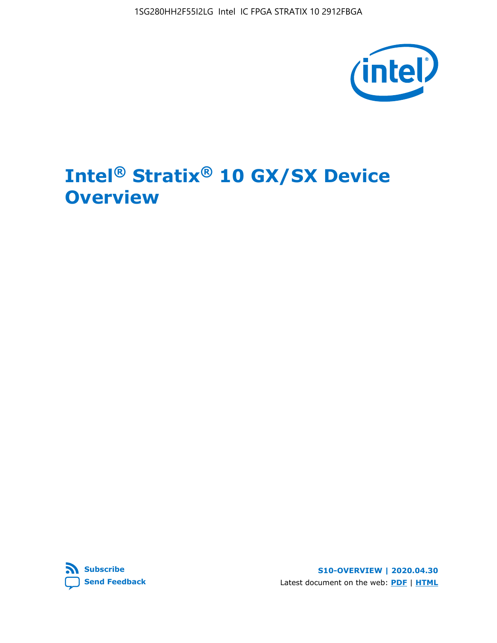

## **Intel® Stratix® 10 GX/SX Device Overview**



**S10-OVERVIEW | 2020.04.30** Latest document on the web: **[PDF](https://www.intel.com/content/dam/www/programmable/us/en/pdfs/literature/hb/stratix-10/s10-overview.pdf)** | **[HTML](https://www.intel.com/content/www/us/en/programmable/documentation/joc1442261161666.html)**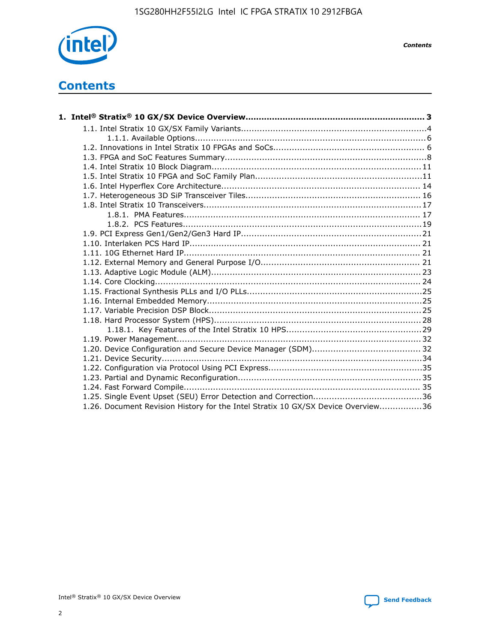

*Contents*

### **Contents**

| 1.26. Document Revision History for the Intel Stratix 10 GX/SX Device Overview36 |  |
|----------------------------------------------------------------------------------|--|

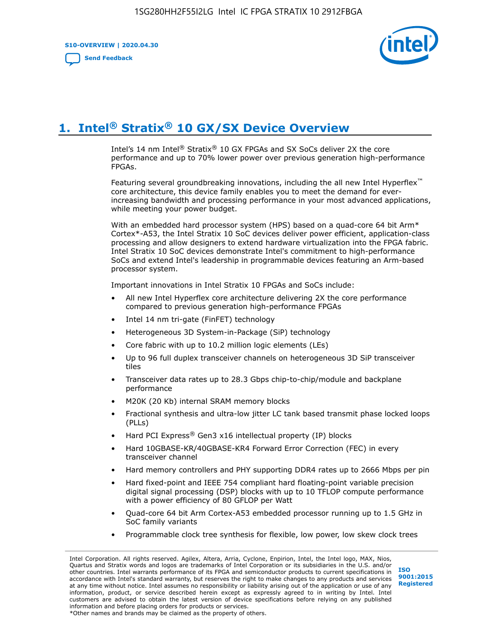**S10-OVERVIEW | 2020.04.30**

**[Send Feedback](mailto:FPGAtechdocfeedback@intel.com?subject=Feedback%20on%20Intel%20Stratix%2010%20GX/SX%20Device%20Overview%20(S10-OVERVIEW%202020.04.30)&body=We%20appreciate%20your%20feedback.%20In%20your%20comments,%20also%20specify%20the%20page%20number%20or%20paragraph.%20Thank%20you.)**



### **1. Intel® Stratix® 10 GX/SX Device Overview**

Intel's 14 nm Intel® Stratix® 10 GX FPGAs and SX SoCs deliver 2X the core performance and up to 70% lower power over previous generation high-performance FPGAs.

Featuring several groundbreaking innovations, including the all new Intel Hyperflex™ core architecture, this device family enables you to meet the demand for everincreasing bandwidth and processing performance in your most advanced applications, while meeting your power budget.

With an embedded hard processor system (HPS) based on a quad-core 64 bit Arm\* Cortex\*-A53, the Intel Stratix 10 SoC devices deliver power efficient, application-class processing and allow designers to extend hardware virtualization into the FPGA fabric. Intel Stratix 10 SoC devices demonstrate Intel's commitment to high-performance SoCs and extend Intel's leadership in programmable devices featuring an Arm-based processor system.

Important innovations in Intel Stratix 10 FPGAs and SoCs include:

- All new Intel Hyperflex core architecture delivering 2X the core performance compared to previous generation high-performance FPGAs
- Intel 14 nm tri-gate (FinFET) technology
- Heterogeneous 3D System-in-Package (SiP) technology
- Core fabric with up to 10.2 million logic elements (LEs)
- Up to 96 full duplex transceiver channels on heterogeneous 3D SiP transceiver tiles
- Transceiver data rates up to 28.3 Gbps chip-to-chip/module and backplane performance
- M20K (20 Kb) internal SRAM memory blocks
- Fractional synthesis and ultra-low jitter LC tank based transmit phase locked loops (PLLs)
- Hard PCI Express<sup>®</sup> Gen3 x16 intellectual property (IP) blocks
- Hard 10GBASE-KR/40GBASE-KR4 Forward Error Correction (FEC) in every transceiver channel
- Hard memory controllers and PHY supporting DDR4 rates up to 2666 Mbps per pin
- Hard fixed-point and IEEE 754 compliant hard floating-point variable precision digital signal processing (DSP) blocks with up to 10 TFLOP compute performance with a power efficiency of 80 GFLOP per Watt
- Quad-core 64 bit Arm Cortex-A53 embedded processor running up to 1.5 GHz in SoC family variants
- Programmable clock tree synthesis for flexible, low power, low skew clock trees

Intel Corporation. All rights reserved. Agilex, Altera, Arria, Cyclone, Enpirion, Intel, the Intel logo, MAX, Nios, Quartus and Stratix words and logos are trademarks of Intel Corporation or its subsidiaries in the U.S. and/or other countries. Intel warrants performance of its FPGA and semiconductor products to current specifications in accordance with Intel's standard warranty, but reserves the right to make changes to any products and services at any time without notice. Intel assumes no responsibility or liability arising out of the application or use of any information, product, or service described herein except as expressly agreed to in writing by Intel. Intel customers are advised to obtain the latest version of device specifications before relying on any published information and before placing orders for products or services. \*Other names and brands may be claimed as the property of others.

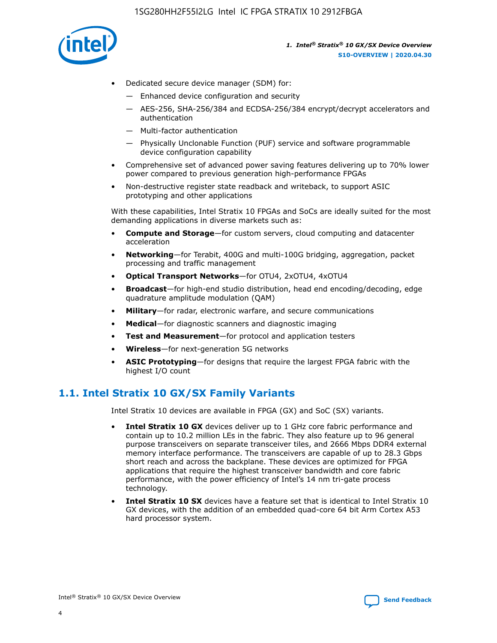

- Dedicated secure device manager (SDM) for:
	- Enhanced device configuration and security
	- AES-256, SHA-256/384 and ECDSA-256/384 encrypt/decrypt accelerators and authentication
	- Multi-factor authentication
	- Physically Unclonable Function (PUF) service and software programmable device configuration capability
- Comprehensive set of advanced power saving features delivering up to 70% lower power compared to previous generation high-performance FPGAs
- Non-destructive register state readback and writeback, to support ASIC prototyping and other applications

With these capabilities, Intel Stratix 10 FPGAs and SoCs are ideally suited for the most demanding applications in diverse markets such as:

- **Compute and Storage**—for custom servers, cloud computing and datacenter acceleration
- **Networking**—for Terabit, 400G and multi-100G bridging, aggregation, packet processing and traffic management
- **Optical Transport Networks**—for OTU4, 2xOTU4, 4xOTU4
- **Broadcast**—for high-end studio distribution, head end encoding/decoding, edge quadrature amplitude modulation (QAM)
- **Military**—for radar, electronic warfare, and secure communications
- **Medical**—for diagnostic scanners and diagnostic imaging
- **Test and Measurement**—for protocol and application testers
- **Wireless**—for next-generation 5G networks
- **ASIC Prototyping**—for designs that require the largest FPGA fabric with the highest I/O count

### **1.1. Intel Stratix 10 GX/SX Family Variants**

Intel Stratix 10 devices are available in FPGA (GX) and SoC (SX) variants.

- **Intel Stratix 10 GX** devices deliver up to 1 GHz core fabric performance and contain up to 10.2 million LEs in the fabric. They also feature up to 96 general purpose transceivers on separate transceiver tiles, and 2666 Mbps DDR4 external memory interface performance. The transceivers are capable of up to 28.3 Gbps short reach and across the backplane. These devices are optimized for FPGA applications that require the highest transceiver bandwidth and core fabric performance, with the power efficiency of Intel's 14 nm tri-gate process technology.
- **Intel Stratix 10 SX** devices have a feature set that is identical to Intel Stratix 10 GX devices, with the addition of an embedded quad-core 64 bit Arm Cortex A53 hard processor system.

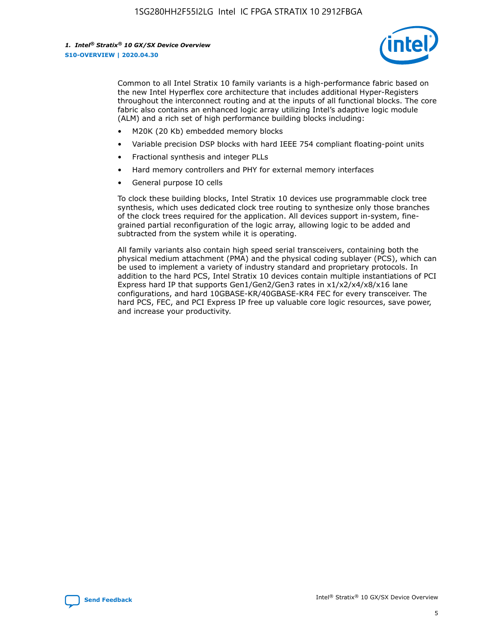

Common to all Intel Stratix 10 family variants is a high-performance fabric based on the new Intel Hyperflex core architecture that includes additional Hyper-Registers throughout the interconnect routing and at the inputs of all functional blocks. The core fabric also contains an enhanced logic array utilizing Intel's adaptive logic module (ALM) and a rich set of high performance building blocks including:

- M20K (20 Kb) embedded memory blocks
- Variable precision DSP blocks with hard IEEE 754 compliant floating-point units
- Fractional synthesis and integer PLLs
- Hard memory controllers and PHY for external memory interfaces
- General purpose IO cells

To clock these building blocks, Intel Stratix 10 devices use programmable clock tree synthesis, which uses dedicated clock tree routing to synthesize only those branches of the clock trees required for the application. All devices support in-system, finegrained partial reconfiguration of the logic array, allowing logic to be added and subtracted from the system while it is operating.

All family variants also contain high speed serial transceivers, containing both the physical medium attachment (PMA) and the physical coding sublayer (PCS), which can be used to implement a variety of industry standard and proprietary protocols. In addition to the hard PCS, Intel Stratix 10 devices contain multiple instantiations of PCI Express hard IP that supports Gen1/Gen2/Gen3 rates in x1/x2/x4/x8/x16 lane configurations, and hard 10GBASE-KR/40GBASE-KR4 FEC for every transceiver. The hard PCS, FEC, and PCI Express IP free up valuable core logic resources, save power, and increase your productivity.

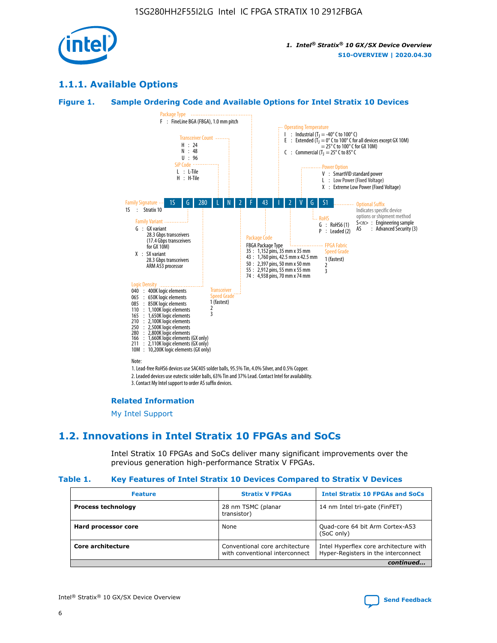

### **1.1.1. Available Options**

#### **Figure 1. Sample Ordering Code and Available Options for Intel Stratix 10 Devices**



### **Related Information**

[My Intel Support](https://www.intel.com/content/www/us/en/programmable/my-intel/mal-home.html)

### **1.2. Innovations in Intel Stratix 10 FPGAs and SoCs**

Intel Stratix 10 FPGAs and SoCs deliver many significant improvements over the previous generation high-performance Stratix V FPGAs.

#### **Table 1. Key Features of Intel Stratix 10 Devices Compared to Stratix V Devices**

| <b>Feature</b>            | <b>Stratix V FPGAs</b>                                           | <b>Intel Stratix 10 FPGAs and SoCs</b>                                        |  |
|---------------------------|------------------------------------------------------------------|-------------------------------------------------------------------------------|--|
| <b>Process technology</b> | 28 nm TSMC (planar<br>transistor)                                | 14 nm Intel tri-gate (FinFET)                                                 |  |
| Hard processor core       | None                                                             | Quad-core 64 bit Arm Cortex-A53<br>(SoC only)                                 |  |
| Core architecture         | Conventional core architecture<br>with conventional interconnect | Intel Hyperflex core architecture with<br>Hyper-Registers in the interconnect |  |
|                           |                                                                  | continued                                                                     |  |

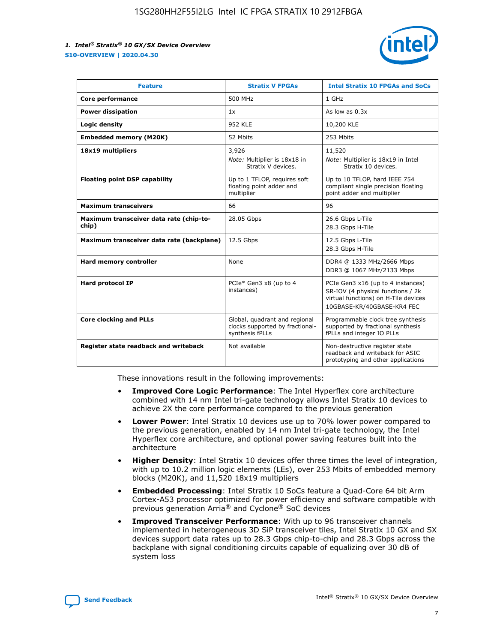

| <b>Feature</b>                                   | <b>Stratix V FPGAs</b>                                                              | <b>Intel Stratix 10 FPGAs and SoCs</b>                                                                                                       |  |
|--------------------------------------------------|-------------------------------------------------------------------------------------|----------------------------------------------------------------------------------------------------------------------------------------------|--|
| Core performance                                 | 500 MHz                                                                             | 1 GHz                                                                                                                                        |  |
| <b>Power dissipation</b>                         | 1x                                                                                  | As low as $0.3x$                                                                                                                             |  |
| Logic density                                    | 952 KLE                                                                             | 10,200 KLE                                                                                                                                   |  |
| <b>Embedded memory (M20K)</b>                    | 52 Mbits                                                                            | 253 Mbits                                                                                                                                    |  |
| 18x19 multipliers                                | 3,926                                                                               | 11,520                                                                                                                                       |  |
|                                                  | Note: Multiplier is 18x18 in<br>Stratix V devices.                                  | Note: Multiplier is 18x19 in Intel<br>Stratix 10 devices.                                                                                    |  |
| <b>Floating point DSP capability</b>             | Up to 1 TFLOP, requires soft<br>floating point adder and<br>multiplier              | Up to 10 TFLOP, hard IEEE 754<br>compliant single precision floating<br>point adder and multiplier                                           |  |
| <b>Maximum transceivers</b>                      | 66                                                                                  | 96                                                                                                                                           |  |
| Maximum transceiver data rate (chip-to-<br>chip) | 28.05 Gbps                                                                          | 26.6 Gbps L-Tile<br>28.3 Gbps H-Tile                                                                                                         |  |
| Maximum transceiver data rate (backplane)        | 12.5 Gbps                                                                           | 12.5 Gbps L-Tile<br>28.3 Gbps H-Tile                                                                                                         |  |
| Hard memory controller                           | None                                                                                | DDR4 @ 1333 MHz/2666 Mbps<br>DDR3 @ 1067 MHz/2133 Mbps                                                                                       |  |
| <b>Hard protocol IP</b>                          | PCIe* Gen3 x8 (up to 4<br>instances)                                                | PCIe Gen3 x16 (up to 4 instances)<br>SR-IOV (4 physical functions / 2k<br>virtual functions) on H-Tile devices<br>10GBASE-KR/40GBASE-KR4 FEC |  |
| <b>Core clocking and PLLs</b>                    | Global, quadrant and regional<br>clocks supported by fractional-<br>synthesis fPLLs | Programmable clock tree synthesis<br>supported by fractional synthesis<br>fPLLs and integer IO PLLs                                          |  |
| Register state readback and writeback            | Not available                                                                       | Non-destructive register state<br>readback and writeback for ASIC<br>prototyping and other applications                                      |  |

These innovations result in the following improvements:

- **Improved Core Logic Performance**: The Intel Hyperflex core architecture combined with 14 nm Intel tri-gate technology allows Intel Stratix 10 devices to achieve 2X the core performance compared to the previous generation
- **Lower Power**: Intel Stratix 10 devices use up to 70% lower power compared to the previous generation, enabled by 14 nm Intel tri-gate technology, the Intel Hyperflex core architecture, and optional power saving features built into the architecture
- **Higher Density**: Intel Stratix 10 devices offer three times the level of integration, with up to 10.2 million logic elements (LEs), over 253 Mbits of embedded memory blocks (M20K), and 11,520 18x19 multipliers
- **Embedded Processing**: Intel Stratix 10 SoCs feature a Quad-Core 64 bit Arm Cortex-A53 processor optimized for power efficiency and software compatible with previous generation Arria® and Cyclone® SoC devices
- **Improved Transceiver Performance**: With up to 96 transceiver channels implemented in heterogeneous 3D SiP transceiver tiles, Intel Stratix 10 GX and SX devices support data rates up to 28.3 Gbps chip-to-chip and 28.3 Gbps across the backplane with signal conditioning circuits capable of equalizing over 30 dB of system loss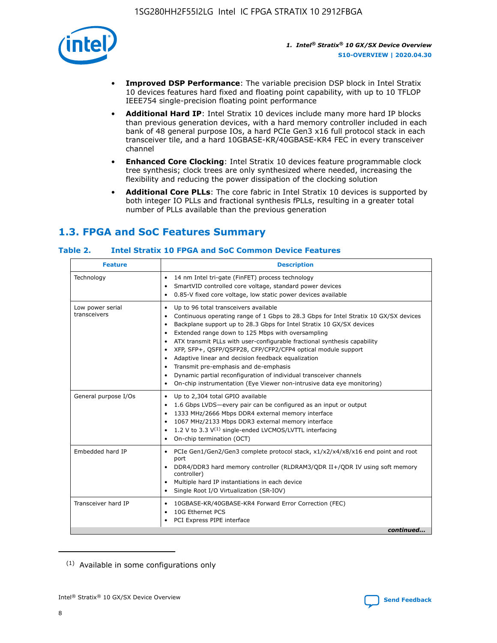

- **Improved DSP Performance**: The variable precision DSP block in Intel Stratix 10 devices features hard fixed and floating point capability, with up to 10 TFLOP IEEE754 single-precision floating point performance
- **Additional Hard IP**: Intel Stratix 10 devices include many more hard IP blocks than previous generation devices, with a hard memory controller included in each bank of 48 general purpose IOs, a hard PCIe Gen3 x16 full protocol stack in each transceiver tile, and a hard 10GBASE-KR/40GBASE-KR4 FEC in every transceiver channel
- **Enhanced Core Clocking**: Intel Stratix 10 devices feature programmable clock tree synthesis; clock trees are only synthesized where needed, increasing the flexibility and reducing the power dissipation of the clocking solution
- **Additional Core PLLs**: The core fabric in Intel Stratix 10 devices is supported by both integer IO PLLs and fractional synthesis fPLLs, resulting in a greater total number of PLLs available than the previous generation

### **1.3. FPGA and SoC Features Summary**

### **Table 2. Intel Stratix 10 FPGA and SoC Common Device Features**

| <b>Feature</b>                   | <b>Description</b>                                                                                                                                                                                                                                                                                                                                                                                                                                                                                                                                                                                                                                                                                                                      |
|----------------------------------|-----------------------------------------------------------------------------------------------------------------------------------------------------------------------------------------------------------------------------------------------------------------------------------------------------------------------------------------------------------------------------------------------------------------------------------------------------------------------------------------------------------------------------------------------------------------------------------------------------------------------------------------------------------------------------------------------------------------------------------------|
| Technology                       | 14 nm Intel tri-gate (FinFET) process technology<br>٠<br>SmartVID controlled core voltage, standard power devices<br>0.85-V fixed core voltage, low static power devices available                                                                                                                                                                                                                                                                                                                                                                                                                                                                                                                                                      |
| Low power serial<br>transceivers | Up to 96 total transceivers available<br>$\bullet$<br>Continuous operating range of 1 Gbps to 28.3 Gbps for Intel Stratix 10 GX/SX devices<br>$\bullet$<br>Backplane support up to 28.3 Gbps for Intel Stratix 10 GX/SX devices<br>$\bullet$<br>Extended range down to 125 Mbps with oversampling<br>$\bullet$<br>ATX transmit PLLs with user-configurable fractional synthesis capability<br>$\bullet$<br>• XFP, SFP+, QSFP/QSFP28, CFP/CFP2/CFP4 optical module support<br>• Adaptive linear and decision feedback equalization<br>Transmit pre-emphasis and de-emphasis<br>Dynamic partial reconfiguration of individual transceiver channels<br>$\bullet$<br>On-chip instrumentation (Eye Viewer non-intrusive data eye monitoring) |
| General purpose I/Os             | Up to 2,304 total GPIO available<br>$\bullet$<br>1.6 Gbps LVDS-every pair can be configured as an input or output<br>1333 MHz/2666 Mbps DDR4 external memory interface<br>1067 MHz/2133 Mbps DDR3 external memory interface<br>• 1.2 V to 3.3 $V^{(1)}$ single-ended LVCMOS/LVTTL interfacing<br>On-chip termination (OCT)<br>$\bullet$                                                                                                                                                                                                                                                                                                                                                                                                 |
| Embedded hard IP                 | PCIe Gen1/Gen2/Gen3 complete protocol stack, $x1/x2/x4/x8/x16$ end point and root<br>$\bullet$<br>port<br>DDR4/DDR3 hard memory controller (RLDRAM3/QDR II+/QDR IV using soft memory<br>controller)<br>• Multiple hard IP instantiations in each device<br>• Single Root I/O Virtualization (SR-IOV)                                                                                                                                                                                                                                                                                                                                                                                                                                    |
| Transceiver hard IP              | 10GBASE-KR/40GBASE-KR4 Forward Error Correction (FEC)<br>$\bullet$<br>10G Ethernet PCS<br>$\bullet$<br>PCI Express PIPE interface<br>$\bullet$<br>continued                                                                                                                                                                                                                                                                                                                                                                                                                                                                                                                                                                             |

<sup>(1)</sup> Available in some configurations only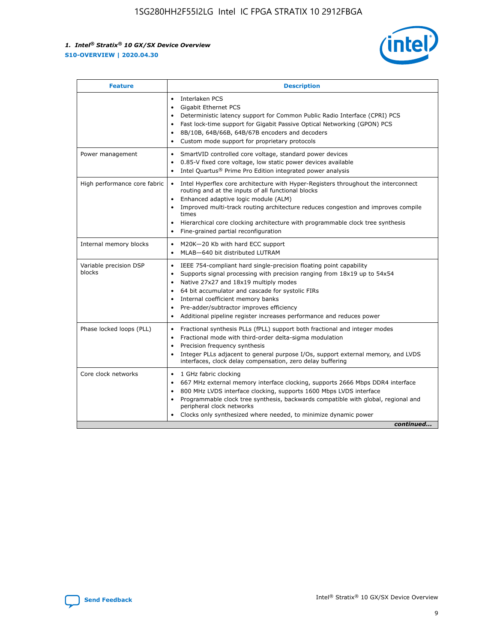

| <b>Feature</b>                   | <b>Description</b>                                                                                                                                                                                                                                                                                                                                                                                                                                            |
|----------------------------------|---------------------------------------------------------------------------------------------------------------------------------------------------------------------------------------------------------------------------------------------------------------------------------------------------------------------------------------------------------------------------------------------------------------------------------------------------------------|
|                                  | Interlaken PCS<br>$\bullet$<br>Gigabit Ethernet PCS<br>$\bullet$<br>Deterministic latency support for Common Public Radio Interface (CPRI) PCS<br>$\bullet$<br>Fast lock-time support for Gigabit Passive Optical Networking (GPON) PCS<br>٠<br>8B/10B, 64B/66B, 64B/67B encoders and decoders<br>Custom mode support for proprietary protocols<br>۰                                                                                                          |
| Power management                 | SmartVID controlled core voltage, standard power devices<br>$\bullet$<br>0.85-V fixed core voltage, low static power devices available<br>$\bullet$<br>Intel Quartus <sup>®</sup> Prime Pro Edition integrated power analysis<br>٠                                                                                                                                                                                                                            |
| High performance core fabric     | Intel Hyperflex core architecture with Hyper-Registers throughout the interconnect<br>routing and at the inputs of all functional blocks<br>Enhanced adaptive logic module (ALM)<br>Improved multi-track routing architecture reduces congestion and improves compile<br>times<br>Hierarchical core clocking architecture with programmable clock tree synthesis<br>$\bullet$<br>Fine-grained partial reconfiguration                                         |
| Internal memory blocks           | M20K-20 Kb with hard ECC support<br>٠<br>MLAB-640 bit distributed LUTRAM<br>$\bullet$                                                                                                                                                                                                                                                                                                                                                                         |
| Variable precision DSP<br>blocks | IEEE 754-compliant hard single-precision floating point capability<br>$\bullet$<br>Supports signal processing with precision ranging from 18x19 up to 54x54<br>$\bullet$<br>Native 27x27 and 18x19 multiply modes<br>٠<br>64 bit accumulator and cascade for systolic FIRs<br>Internal coefficient memory banks<br>Pre-adder/subtractor improves efficiency<br>$\bullet$<br>Additional pipeline register increases performance and reduces power<br>$\bullet$ |
| Phase locked loops (PLL)         | Fractional synthesis PLLs (fPLL) support both fractional and integer modes<br>$\bullet$<br>Fractional mode with third-order delta-sigma modulation<br>Precision frequency synthesis<br>$\bullet$<br>Integer PLLs adjacent to general purpose I/Os, support external memory, and LVDS<br>$\bullet$<br>interfaces, clock delay compensation, zero delay buffering                                                                                               |
| Core clock networks              | 1 GHz fabric clocking<br>٠<br>667 MHz external memory interface clocking, supports 2666 Mbps DDR4 interface<br>$\bullet$<br>800 MHz LVDS interface clocking, supports 1600 Mbps LVDS interface<br>$\bullet$<br>Programmable clock tree synthesis, backwards compatible with global, regional and<br>$\bullet$<br>peripheral clock networks<br>Clocks only synthesized where needed, to minimize dynamic power<br>continued                                    |

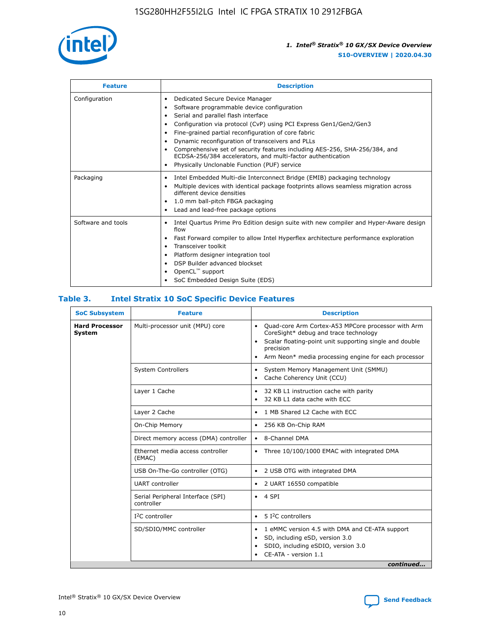

| <b>Feature</b>     | <b>Description</b>                                                                                                                                                                                                                                                                                                                                                                                                                                                                                                                                                   |  |  |  |
|--------------------|----------------------------------------------------------------------------------------------------------------------------------------------------------------------------------------------------------------------------------------------------------------------------------------------------------------------------------------------------------------------------------------------------------------------------------------------------------------------------------------------------------------------------------------------------------------------|--|--|--|
| Configuration      | Dedicated Secure Device Manager<br>$\bullet$<br>Software programmable device configuration<br>٠<br>Serial and parallel flash interface<br>٠<br>Configuration via protocol (CvP) using PCI Express Gen1/Gen2/Gen3<br>٠<br>Fine-grained partial reconfiguration of core fabric<br>$\bullet$<br>Dynamic reconfiguration of transceivers and PLLs<br>$\bullet$<br>Comprehensive set of security features including AES-256, SHA-256/384, and<br>ECDSA-256/384 accelerators, and multi-factor authentication<br>Physically Unclonable Function (PUF) service<br>$\bullet$ |  |  |  |
| Packaging          | Intel Embedded Multi-die Interconnect Bridge (EMIB) packaging technology<br>٠<br>Multiple devices with identical package footprints allows seamless migration across<br>$\bullet$<br>different device densities<br>1.0 mm ball-pitch FBGA packaging<br>$\bullet$<br>Lead and lead-free package options                                                                                                                                                                                                                                                               |  |  |  |
| Software and tools | Intel Quartus Prime Pro Edition design suite with new compiler and Hyper-Aware design<br>flow<br>Fast Forward compiler to allow Intel Hyperflex architecture performance exploration<br>$\bullet$<br>Transceiver toolkit<br>$\bullet$<br>Platform designer integration tool<br>DSP Builder advanced blockset<br>OpenCL <sup>™</sup> support<br>SoC Embedded Design Suite (EDS)                                                                                                                                                                                       |  |  |  |

#### **Table 3. Intel Stratix 10 SoC Specific Device Features**

| <b>Hard Processor</b><br>System | Multi-processor unit (MPU) core<br><b>System Controllers</b> | Quad-core Arm Cortex-A53 MPCore processor with Arm<br>$\bullet$<br>CoreSight* debug and trace technology<br>Scalar floating-point unit supporting single and double<br>$\bullet$<br>precision<br>Arm Neon* media processing engine for each processor<br>$\bullet$<br>System Memory Management Unit (SMMU)<br>٠<br>Cache Coherency Unit (CCU)<br>$\bullet$ |  |  |
|---------------------------------|--------------------------------------------------------------|------------------------------------------------------------------------------------------------------------------------------------------------------------------------------------------------------------------------------------------------------------------------------------------------------------------------------------------------------------|--|--|
|                                 |                                                              |                                                                                                                                                                                                                                                                                                                                                            |  |  |
|                                 |                                                              |                                                                                                                                                                                                                                                                                                                                                            |  |  |
|                                 | Layer 1 Cache                                                | 32 KB L1 instruction cache with parity<br>$\bullet$<br>32 KB L1 data cache with ECC<br>$\bullet$                                                                                                                                                                                                                                                           |  |  |
|                                 | Layer 2 Cache                                                | 1 MB Shared L2 Cache with ECC<br>$\bullet$                                                                                                                                                                                                                                                                                                                 |  |  |
|                                 | On-Chip Memory                                               | 256 KB On-Chip RAM<br>٠                                                                                                                                                                                                                                                                                                                                    |  |  |
|                                 | Direct memory access (DMA) controller                        | 8-Channel DMA<br>$\bullet$                                                                                                                                                                                                                                                                                                                                 |  |  |
| (EMAC)                          | Ethernet media access controller                             | Three 10/100/1000 EMAC with integrated DMA<br>$\bullet$                                                                                                                                                                                                                                                                                                    |  |  |
|                                 | USB On-The-Go controller (OTG)                               | 2 USB OTG with integrated DMA<br>$\bullet$                                                                                                                                                                                                                                                                                                                 |  |  |
|                                 | <b>UART</b> controller                                       | 2 UART 16550 compatible<br>$\bullet$                                                                                                                                                                                                                                                                                                                       |  |  |
|                                 | Serial Peripheral Interface (SPI)<br>controller              | $\bullet$ 4 SPI                                                                                                                                                                                                                                                                                                                                            |  |  |
|                                 | $I2C$ controller                                             | 5 I <sup>2</sup> C controllers<br>$\bullet$                                                                                                                                                                                                                                                                                                                |  |  |
|                                 | SD/SDIO/MMC controller                                       | 1 eMMC version 4.5 with DMA and CE-ATA support<br>$\bullet$<br>SD, including eSD, version 3.0<br>$\bullet$<br>SDIO, including eSDIO, version 3.0<br>$\bullet$<br>CE-ATA - version 1.1<br>continued                                                                                                                                                         |  |  |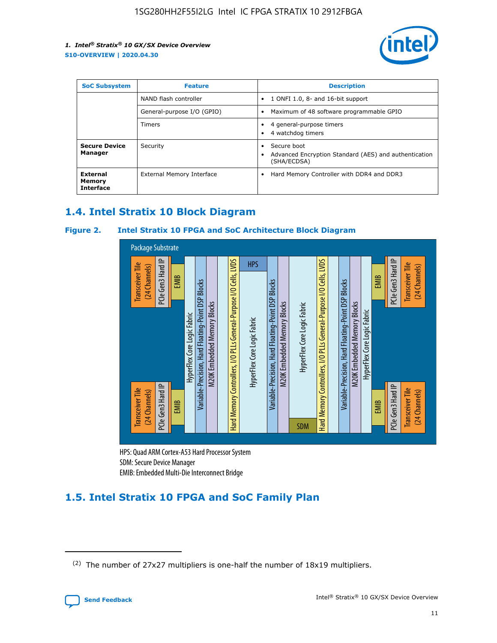

| <b>SoC Subsystem</b>                   | <b>Feature</b>             | <b>Description</b>                                                                                    |  |  |
|----------------------------------------|----------------------------|-------------------------------------------------------------------------------------------------------|--|--|
|                                        | NAND flash controller      | 1 ONFI 1.0, 8- and 16-bit support<br>$\bullet$                                                        |  |  |
|                                        | General-purpose I/O (GPIO) | Maximum of 48 software programmable GPIO<br>$\bullet$                                                 |  |  |
|                                        | Timers                     | 4 general-purpose timers<br>4 watchdog timers<br>٠                                                    |  |  |
| <b>Secure Device</b><br>Manager        | Security                   | Secure boot<br>$\bullet$<br>Advanced Encryption Standard (AES) and authentication<br>٠<br>(SHA/ECDSA) |  |  |
| External<br>Memory<br><b>Interface</b> | External Memory Interface  | Hard Memory Controller with DDR4 and DDR3<br>$\bullet$                                                |  |  |

### **1.4. Intel Stratix 10 Block Diagram**

### **Figure 2. Intel Stratix 10 FPGA and SoC Architecture Block Diagram**



HPS: Quad ARM Cortex-A53 Hard Processor System SDM: Secure Device Manager

### **1.5. Intel Stratix 10 FPGA and SoC Family Plan**

<sup>(2)</sup> The number of 27x27 multipliers is one-half the number of 18x19 multipliers.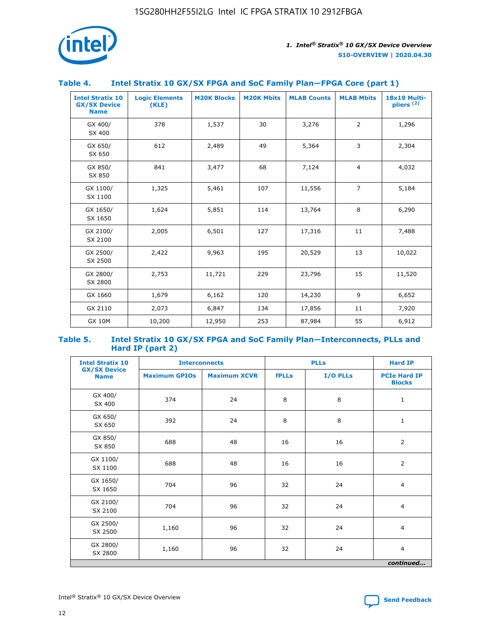

### **Table 4. Intel Stratix 10 GX/SX FPGA and SoC Family Plan—FPGA Core (part 1)**

| <b>Intel Stratix 10</b><br><b>GX/SX Device</b><br><b>Name</b> | <b>Logic Elements</b><br>(KLE) | <b>M20K Blocks</b> | <b>M20K Mbits</b> | <b>MLAB Counts</b> | <b>MLAB Mbits</b> | 18x19 Multi-<br>pliers <sup>(2)</sup> |
|---------------------------------------------------------------|--------------------------------|--------------------|-------------------|--------------------|-------------------|---------------------------------------|
| GX 400/<br>SX 400                                             | 378                            | 1,537              | 30                | 3,276              | $\overline{2}$    | 1,296                                 |
| GX 650/<br>SX 650                                             | 612                            | 2,489              | 49                | 5,364              | 3                 | 2,304                                 |
| GX 850/<br>SX 850                                             | 841                            | 3,477              | 68                | 7,124              | $\overline{4}$    | 4,032                                 |
| GX 1100/<br>SX 1100                                           | 1,325                          | 5,461              | 107               | 11,556             | $\overline{7}$    | 5,184                                 |
| GX 1650/<br>SX 1650                                           | 1,624                          | 5,851              | 114               | 13,764             | 8                 | 6,290                                 |
| GX 2100/<br>SX 2100                                           | 2,005                          | 6,501              | 127               | 17,316             | 11                | 7,488                                 |
| GX 2500/<br>SX 2500                                           | 2,422                          | 9,963              | 195               | 20,529             | 13                | 10,022                                |
| GX 2800/<br>SX 2800                                           | 2,753                          | 11,721             | 229               | 23,796             | 15                | 11,520                                |
| GX 1660                                                       | 1,679                          | 6,162              | 120               | 14,230             | 9                 | 6,652                                 |
| GX 2110                                                       | 2,073                          | 6,847              | 134               | 17,856             | 11                | 7,920                                 |
| <b>GX 10M</b>                                                 | 10,200                         | 12,950             | 253               | 87,984             | 55                | 6,912                                 |

#### **Table 5. Intel Stratix 10 GX/SX FPGA and SoC Family Plan—Interconnects, PLLs and Hard IP (part 2)**

| <b>Intel Stratix 10</b>            | <b>Interconnects</b> |                     |              | <b>PLLs</b> | <b>Hard IP</b>                       |  |
|------------------------------------|----------------------|---------------------|--------------|-------------|--------------------------------------|--|
| <b>GX/SX Device</b><br><b>Name</b> | <b>Maximum GPIOs</b> | <b>Maximum XCVR</b> | <b>fPLLs</b> | I/O PLLs    | <b>PCIe Hard IP</b><br><b>Blocks</b> |  |
| GX 400/<br>SX 400                  | 374                  | 24                  | 8            | 8           | $\mathbf{1}$                         |  |
| GX 650/<br>SX 650                  | 392                  | 24                  | 8            | 8           | $\mathbf{1}$                         |  |
| GX 850/<br>SX 850                  | 688                  | 48                  | 16           | 16          | 2                                    |  |
| GX 1100/<br>SX 1100                | 688                  | 48                  | 16           | 16          | 2                                    |  |
| GX 1650/<br>SX 1650                | 704                  | 96                  | 32           | 24          | $\overline{4}$                       |  |
| GX 2100/<br>SX 2100                | 704                  | 96                  | 32           | 24          | $\overline{4}$                       |  |
| GX 2500/<br>SX 2500                | 1,160                | 96                  | 32           | 24          | $\overline{4}$                       |  |
| GX 2800/<br>SX 2800                | 1,160                | 96                  | 32           | 24          | $\overline{4}$                       |  |
| continued                          |                      |                     |              |             |                                      |  |

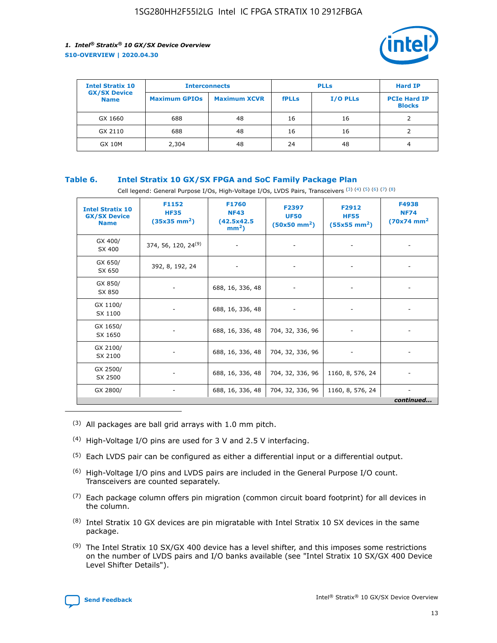

| <b>Intel Stratix 10</b>            | <b>Interconnects</b> |                     |              | <b>Hard IP</b>  |                                      |
|------------------------------------|----------------------|---------------------|--------------|-----------------|--------------------------------------|
| <b>GX/SX Device</b><br><b>Name</b> | <b>Maximum GPIOs</b> | <b>Maximum XCVR</b> | <b>fPLLs</b> | <b>I/O PLLs</b> | <b>PCIe Hard IP</b><br><b>Blocks</b> |
| GX 1660                            | 688                  | 48                  | 16           | 16              |                                      |
| GX 2110                            | 688                  | 48                  | 16           | 16              |                                      |
| <b>GX 10M</b>                      | 2,304                | 48                  | 24           | 48              | 4                                    |

### **Table 6. Intel Stratix 10 GX/SX FPGA and SoC Family Package Plan**

Cell legend: General Purpose I/Os, High-Voltage I/Os, LVDS Pairs, Transceivers (3) (4) (5) (6) (7) (8)

| <b>Intel Stratix 10</b><br><b>GX/SX Device</b><br><b>Name</b> | F1152<br><b>HF35</b><br>$(35x35 \text{ mm}^2)$ | <b>F1760</b><br><b>NF43</b><br>(42.5x42.5<br>$mm2$ ) | F2397<br><b>UF50</b><br>$(50x50$ mm <sup>2</sup> ) | F2912<br><b>HF55</b><br>$(55x55 \text{ mm}^2)$ | F4938<br><b>NF74</b><br>$(70x74)$ mm <sup>2</sup> |
|---------------------------------------------------------------|------------------------------------------------|------------------------------------------------------|----------------------------------------------------|------------------------------------------------|---------------------------------------------------|
| GX 400/<br>SX 400                                             | 374, 56, 120, 24 <sup>(9)</sup>                | $\overline{\phantom{a}}$                             | $\overline{\phantom{a}}$                           |                                                |                                                   |
| GX 650/<br>SX 650                                             | 392, 8, 192, 24                                | ٠                                                    | $\overline{\phantom{a}}$                           |                                                |                                                   |
| GX 850/<br>SX 850                                             |                                                | 688, 16, 336, 48                                     |                                                    |                                                |                                                   |
| GX 1100/<br>SX 1100                                           |                                                | 688, 16, 336, 48                                     |                                                    |                                                |                                                   |
| GX 1650/<br>SX 1650                                           |                                                | 688, 16, 336, 48                                     | 704, 32, 336, 96                                   |                                                |                                                   |
| GX 2100/<br>SX 2100                                           |                                                | 688, 16, 336, 48                                     | 704, 32, 336, 96                                   | -                                              | ۰                                                 |
| GX 2500/<br>SX 2500                                           |                                                | 688, 16, 336, 48                                     | 704, 32, 336, 96                                   | 1160, 8, 576, 24                               |                                                   |
| GX 2800/                                                      | $\overline{\phantom{a}}$                       | 688, 16, 336, 48                                     | 704, 32, 336, 96                                   | 1160, 8, 576, 24                               | ٠<br>continued                                    |

- (3) All packages are ball grid arrays with 1.0 mm pitch.
- (4) High-Voltage I/O pins are used for 3 V and 2.5 V interfacing.
- $(5)$  Each LVDS pair can be configured as either a differential input or a differential output.
- (6) High-Voltage I/O pins and LVDS pairs are included in the General Purpose I/O count. Transceivers are counted separately.
- $(7)$  Each package column offers pin migration (common circuit board footprint) for all devices in the column.
- $(8)$  Intel Stratix 10 GX devices are pin migratable with Intel Stratix 10 SX devices in the same package.
- $(9)$  The Intel Stratix 10 SX/GX 400 device has a level shifter, and this imposes some restrictions on the number of LVDS pairs and I/O banks available (see "Intel Stratix 10 SX/GX 400 Device Level Shifter Details").

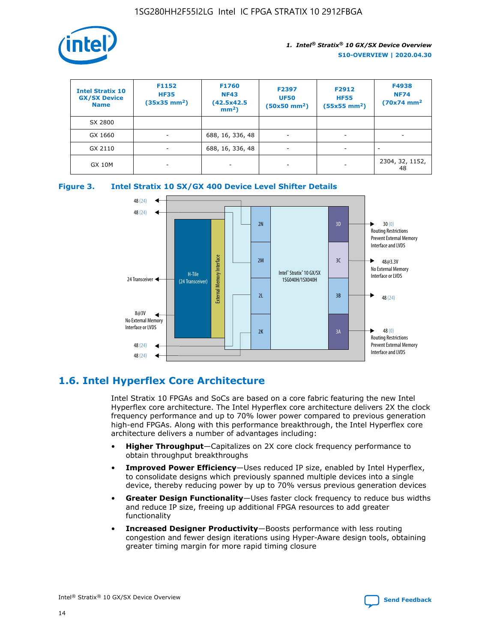

| <b>Intel Stratix 10</b><br><b>GX/SX Device</b><br><b>Name</b> | F1152<br><b>HF35</b><br>$(35x35)$ mm <sup>2</sup> ) | F1760<br><b>NF43</b><br>(42.5x42.5<br>$mm2$ ) | F2397<br><b>UF50</b><br>$(50x50 \text{ mm}^2)$ | F2912<br><b>HF55</b><br>$(55x55$ mm <sup>2</sup> ) | F4938<br><b>NF74</b><br>$(70x74)$ mm <sup>2</sup> |
|---------------------------------------------------------------|-----------------------------------------------------|-----------------------------------------------|------------------------------------------------|----------------------------------------------------|---------------------------------------------------|
| SX 2800                                                       |                                                     |                                               |                                                |                                                    |                                                   |
| GX 1660                                                       | -                                                   | 688, 16, 336, 48                              | $\overline{\phantom{a}}$                       |                                                    |                                                   |
| GX 2110                                                       |                                                     | 688, 16, 336, 48                              | $\overline{\phantom{a}}$                       |                                                    |                                                   |
| <b>GX 10M</b>                                                 | ۰                                                   |                                               |                                                |                                                    | 2304, 32, 1152,<br>48                             |





### **1.6. Intel Hyperflex Core Architecture**

Intel Stratix 10 FPGAs and SoCs are based on a core fabric featuring the new Intel Hyperflex core architecture. The Intel Hyperflex core architecture delivers 2X the clock frequency performance and up to 70% lower power compared to previous generation high-end FPGAs. Along with this performance breakthrough, the Intel Hyperflex core architecture delivers a number of advantages including:

- **Higher Throughput**—Capitalizes on 2X core clock frequency performance to obtain throughput breakthroughs
- **Improved Power Efficiency**—Uses reduced IP size, enabled by Intel Hyperflex, to consolidate designs which previously spanned multiple devices into a single device, thereby reducing power by up to 70% versus previous generation devices
- **Greater Design Functionality**—Uses faster clock frequency to reduce bus widths and reduce IP size, freeing up additional FPGA resources to add greater functionality
- **Increased Designer Productivity**—Boosts performance with less routing congestion and fewer design iterations using Hyper-Aware design tools, obtaining greater timing margin for more rapid timing closure

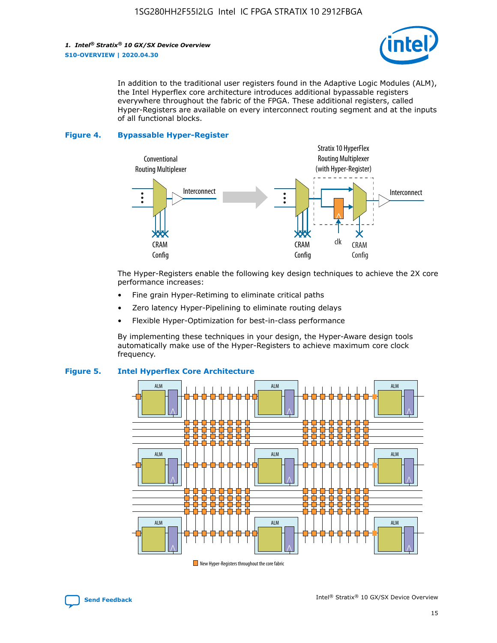

In addition to the traditional user registers found in the Adaptive Logic Modules (ALM), the Intel Hyperflex core architecture introduces additional bypassable registers everywhere throughout the fabric of the FPGA. These additional registers, called Hyper-Registers are available on every interconnect routing segment and at the inputs of all functional blocks.

#### **Figure 4. Bypassable Hyper-Register**



The Hyper-Registers enable the following key design techniques to achieve the 2X core performance increases:

- Fine grain Hyper-Retiming to eliminate critical paths
- Zero latency Hyper-Pipelining to eliminate routing delays
- Flexible Hyper-Optimization for best-in-class performance

By implementing these techniques in your design, the Hyper-Aware design tools automatically make use of the Hyper-Registers to achieve maximum core clock frequency.



### **Figure 5. Intel Hyperflex Core Architecture**

New Hyper-Registers throughout the core fabric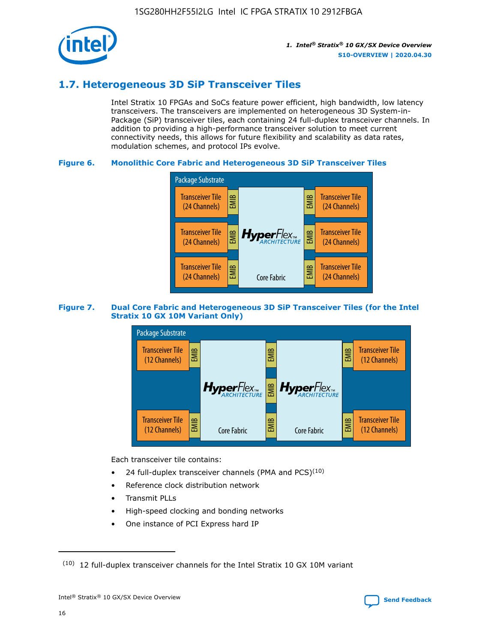

### **1.7. Heterogeneous 3D SiP Transceiver Tiles**

Intel Stratix 10 FPGAs and SoCs feature power efficient, high bandwidth, low latency transceivers. The transceivers are implemented on heterogeneous 3D System-in-Package (SiP) transceiver tiles, each containing 24 full-duplex transceiver channels. In addition to providing a high-performance transceiver solution to meet current connectivity needs, this allows for future flexibility and scalability as data rates, modulation schemes, and protocol IPs evolve.

#### **Figure 6. Monolithic Core Fabric and Heterogeneous 3D SiP Transceiver Tiles**



#### **Figure 7. Dual Core Fabric and Heterogeneous 3D SiP Transceiver Tiles (for the Intel Stratix 10 GX 10M Variant Only)**



Each transceiver tile contains:

- 24 full-duplex transceiver channels (PMA and PCS) $(10)$
- Reference clock distribution network
- Transmit PLLs
- High-speed clocking and bonding networks
- One instance of PCI Express hard IP

 $(10)$  12 full-duplex transceiver channels for the Intel Stratix 10 GX 10M variant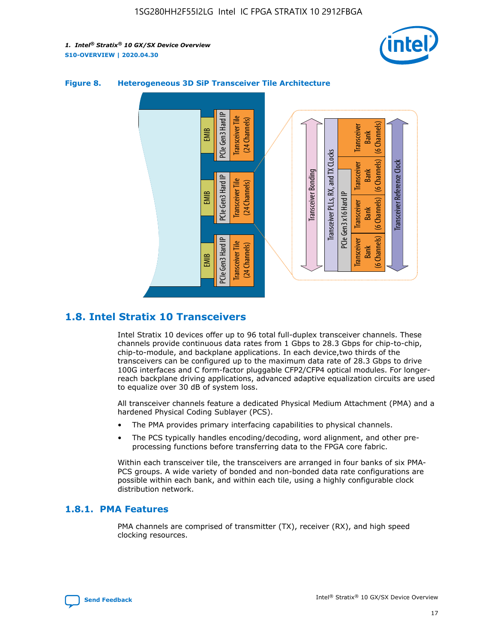



### **Figure 8. Heterogeneous 3D SiP Transceiver Tile Architecture**

### **1.8. Intel Stratix 10 Transceivers**

Intel Stratix 10 devices offer up to 96 total full-duplex transceiver channels. These channels provide continuous data rates from 1 Gbps to 28.3 Gbps for chip-to-chip, chip-to-module, and backplane applications. In each device,two thirds of the transceivers can be configured up to the maximum data rate of 28.3 Gbps to drive 100G interfaces and C form-factor pluggable CFP2/CFP4 optical modules. For longerreach backplane driving applications, advanced adaptive equalization circuits are used to equalize over 30 dB of system loss.

All transceiver channels feature a dedicated Physical Medium Attachment (PMA) and a hardened Physical Coding Sublayer (PCS).

- The PMA provides primary interfacing capabilities to physical channels.
- The PCS typically handles encoding/decoding, word alignment, and other preprocessing functions before transferring data to the FPGA core fabric.

Within each transceiver tile, the transceivers are arranged in four banks of six PMA-PCS groups. A wide variety of bonded and non-bonded data rate configurations are possible within each bank, and within each tile, using a highly configurable clock distribution network.

### **1.8.1. PMA Features**

PMA channels are comprised of transmitter (TX), receiver (RX), and high speed clocking resources.

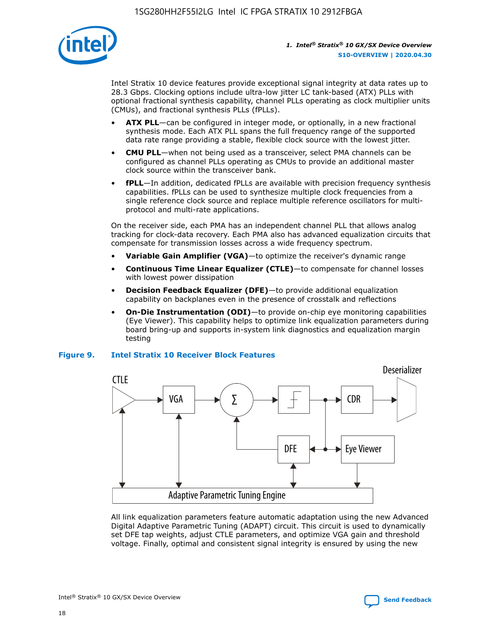

Intel Stratix 10 device features provide exceptional signal integrity at data rates up to 28.3 Gbps. Clocking options include ultra-low jitter LC tank-based (ATX) PLLs with optional fractional synthesis capability, channel PLLs operating as clock multiplier units (CMUs), and fractional synthesis PLLs (fPLLs).

- **ATX PLL**—can be configured in integer mode, or optionally, in a new fractional synthesis mode. Each ATX PLL spans the full frequency range of the supported data rate range providing a stable, flexible clock source with the lowest jitter.
- **CMU PLL**—when not being used as a transceiver, select PMA channels can be configured as channel PLLs operating as CMUs to provide an additional master clock source within the transceiver bank.
- **fPLL**—In addition, dedicated fPLLs are available with precision frequency synthesis capabilities. fPLLs can be used to synthesize multiple clock frequencies from a single reference clock source and replace multiple reference oscillators for multiprotocol and multi-rate applications.

On the receiver side, each PMA has an independent channel PLL that allows analog tracking for clock-data recovery. Each PMA also has advanced equalization circuits that compensate for transmission losses across a wide frequency spectrum.

- **Variable Gain Amplifier (VGA)**—to optimize the receiver's dynamic range
- **Continuous Time Linear Equalizer (CTLE)**—to compensate for channel losses with lowest power dissipation
- **Decision Feedback Equalizer (DFE)**—to provide additional equalization capability on backplanes even in the presence of crosstalk and reflections
- **On-Die Instrumentation (ODI)**—to provide on-chip eye monitoring capabilities (Eye Viewer). This capability helps to optimize link equalization parameters during board bring-up and supports in-system link diagnostics and equalization margin testing

#### **Figure 9. Intel Stratix 10 Receiver Block Features**



All link equalization parameters feature automatic adaptation using the new Advanced Digital Adaptive Parametric Tuning (ADAPT) circuit. This circuit is used to dynamically set DFE tap weights, adjust CTLE parameters, and optimize VGA gain and threshold voltage. Finally, optimal and consistent signal integrity is ensured by using the new



Intel<sup>®</sup> Stratix<sup>®</sup> 10 GX/SX Device Overview **[Send Feedback](mailto:FPGAtechdocfeedback@intel.com?subject=Feedback%20on%20Intel%20Stratix%2010%20GX/SX%20Device%20Overview%20(S10-OVERVIEW%202020.04.30)&body=We%20appreciate%20your%20feedback.%20In%20your%20comments,%20also%20specify%20the%20page%20number%20or%20paragraph.%20Thank%20you.)** Send Feedback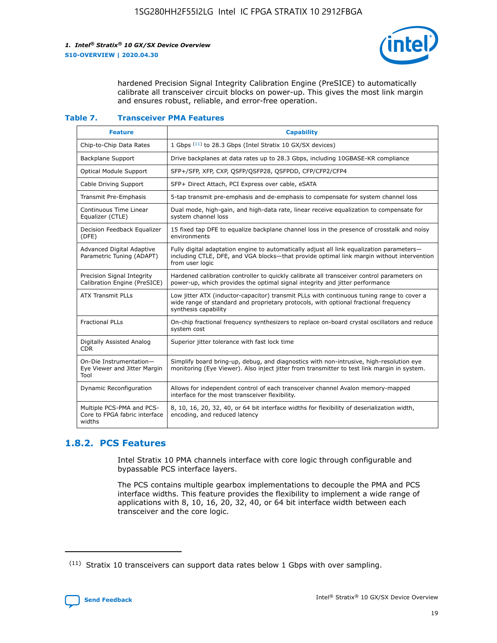

hardened Precision Signal Integrity Calibration Engine (PreSICE) to automatically calibrate all transceiver circuit blocks on power-up. This gives the most link margin and ensures robust, reliable, and error-free operation.

#### **Table 7. Transceiver PMA Features**

| <b>Feature</b>                                                       | <b>Capability</b>                                                                                                                                                                                         |
|----------------------------------------------------------------------|-----------------------------------------------------------------------------------------------------------------------------------------------------------------------------------------------------------|
| Chip-to-Chip Data Rates                                              | 1 Gbps (11) to 28.3 Gbps (Intel Stratix 10 GX/SX devices)                                                                                                                                                 |
| <b>Backplane Support</b>                                             | Drive backplanes at data rates up to 28.3 Gbps, including 10GBASE-KR compliance                                                                                                                           |
| Optical Module Support                                               | SFP+/SFP, XFP, CXP, QSFP/QSFP28, QSFPDD, CFP/CFP2/CFP4                                                                                                                                                    |
| Cable Driving Support                                                | SFP+ Direct Attach, PCI Express over cable, eSATA                                                                                                                                                         |
| <b>Transmit Pre-Emphasis</b>                                         | 5-tap transmit pre-emphasis and de-emphasis to compensate for system channel loss                                                                                                                         |
| Continuous Time Linear<br>Equalizer (CTLE)                           | Dual mode, high-gain, and high-data rate, linear receive equalization to compensate for<br>system channel loss                                                                                            |
| Decision Feedback Equalizer<br>(DFE)                                 | 15 fixed tap DFE to equalize backplane channel loss in the presence of crosstalk and noisy<br>environments                                                                                                |
| Advanced Digital Adaptive<br>Parametric Tuning (ADAPT)               | Fully digital adaptation engine to automatically adjust all link equalization parameters-<br>including CTLE, DFE, and VGA blocks-that provide optimal link margin without intervention<br>from user logic |
| Precision Signal Integrity<br>Calibration Engine (PreSICE)           | Hardened calibration controller to quickly calibrate all transceiver control parameters on<br>power-up, which provides the optimal signal integrity and jitter performance                                |
| <b>ATX Transmit PLLs</b>                                             | Low jitter ATX (inductor-capacitor) transmit PLLs with continuous tuning range to cover a<br>wide range of standard and proprietary protocols, with optional fractional frequency<br>synthesis capability |
| <b>Fractional PLLs</b>                                               | On-chip fractional frequency synthesizers to replace on-board crystal oscillators and reduce<br>system cost                                                                                               |
| Digitally Assisted Analog<br>CDR.                                    | Superior jitter tolerance with fast lock time                                                                                                                                                             |
| On-Die Instrumentation-<br>Eye Viewer and Jitter Margin<br>Tool      | Simplify board bring-up, debug, and diagnostics with non-intrusive, high-resolution eye<br>monitoring (Eye Viewer). Also inject jitter from transmitter to test link margin in system.                    |
| Dynamic Reconfiguration                                              | Allows for independent control of each transceiver channel Avalon memory-mapped<br>interface for the most transceiver flexibility.                                                                        |
| Multiple PCS-PMA and PCS-<br>Core to FPGA fabric interface<br>widths | 8, 10, 16, 20, 32, 40, or 64 bit interface widths for flexibility of deserialization width,<br>encoding, and reduced latency                                                                              |

### **1.8.2. PCS Features**

Intel Stratix 10 PMA channels interface with core logic through configurable and bypassable PCS interface layers.

The PCS contains multiple gearbox implementations to decouple the PMA and PCS interface widths. This feature provides the flexibility to implement a wide range of applications with 8, 10, 16, 20, 32, 40, or 64 bit interface width between each transceiver and the core logic.

<sup>(11)</sup> Stratix 10 transceivers can support data rates below 1 Gbps with over sampling.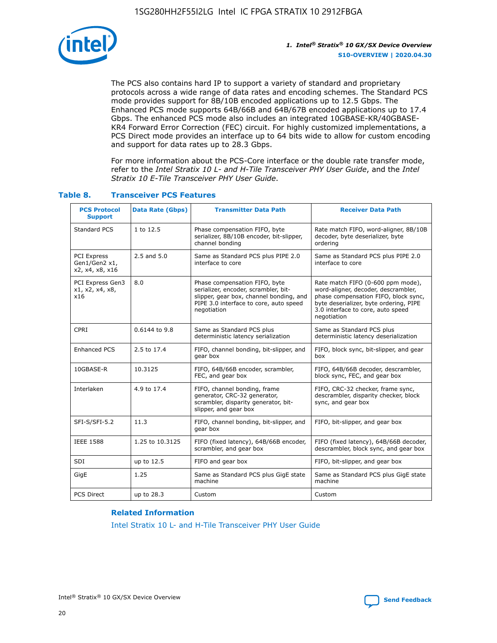

The PCS also contains hard IP to support a variety of standard and proprietary protocols across a wide range of data rates and encoding schemes. The Standard PCS mode provides support for 8B/10B encoded applications up to 12.5 Gbps. The Enhanced PCS mode supports 64B/66B and 64B/67B encoded applications up to 17.4 Gbps. The enhanced PCS mode also includes an integrated 10GBASE-KR/40GBASE-KR4 Forward Error Correction (FEC) circuit. For highly customized implementations, a PCS Direct mode provides an interface up to 64 bits wide to allow for custom encoding and support for data rates up to 28.3 Gbps.

For more information about the PCS-Core interface or the double rate transfer mode, refer to the *Intel Stratix 10 L- and H-Tile Transceiver PHY User Guide*, and the *Intel Stratix 10 E-Tile Transceiver PHY User Guide*.

| <b>PCS Protocol</b><br><b>Support</b>           | Data Rate (Gbps) | <b>Transmitter Data Path</b>                                                                                                                                              | <b>Receiver Data Path</b>                                                                                                                                                                                      |
|-------------------------------------------------|------------------|---------------------------------------------------------------------------------------------------------------------------------------------------------------------------|----------------------------------------------------------------------------------------------------------------------------------------------------------------------------------------------------------------|
| Standard PCS                                    | 1 to 12.5        | Phase compensation FIFO, byte<br>serializer, 8B/10B encoder, bit-slipper,<br>channel bonding                                                                              | Rate match FIFO, word-aligner, 8B/10B<br>decoder, byte deserializer, byte<br>ordering                                                                                                                          |
| PCI Express<br>Gen1/Gen2 x1,<br>x2, x4, x8, x16 | $2.5$ and $5.0$  | Same as Standard PCS plus PIPE 2.0<br>interface to core                                                                                                                   | Same as Standard PCS plus PIPE 2.0<br>interface to core                                                                                                                                                        |
| PCI Express Gen3<br>x1, x2, x4, x8,<br>x16      | 8.0              | Phase compensation FIFO, byte<br>serializer, encoder, scrambler, bit-<br>slipper, gear box, channel bonding, and<br>PIPE 3.0 interface to core, auto speed<br>negotiation | Rate match FIFO (0-600 ppm mode),<br>word-aligner, decoder, descrambler,<br>phase compensation FIFO, block sync,<br>byte deserializer, byte ordering, PIPE<br>3.0 interface to core, auto speed<br>negotiation |
| CPRI                                            | 0.6144 to 9.8    | Same as Standard PCS plus<br>deterministic latency serialization                                                                                                          | Same as Standard PCS plus<br>deterministic latency deserialization                                                                                                                                             |
| <b>Enhanced PCS</b>                             | 2.5 to 17.4      | FIFO, channel bonding, bit-slipper, and<br>gear box                                                                                                                       | FIFO, block sync, bit-slipper, and gear<br>box                                                                                                                                                                 |
| 10GBASE-R                                       | 10.3125          | FIFO, 64B/66B encoder, scrambler,<br>FEC, and gear box                                                                                                                    | FIFO, 64B/66B decoder, descrambler,<br>block sync, FEC, and gear box                                                                                                                                           |
| Interlaken                                      | 4.9 to 17.4      | FIFO, channel bonding, frame<br>generator, CRC-32 generator,<br>scrambler, disparity generator, bit-<br>slipper, and gear box                                             | FIFO, CRC-32 checker, frame sync,<br>descrambler, disparity checker, block<br>sync, and gear box                                                                                                               |
| SFI-S/SFI-5.2                                   | 11.3             | FIFO, channel bonding, bit-slipper, and<br>gear box                                                                                                                       | FIFO, bit-slipper, and gear box                                                                                                                                                                                |
| <b>IEEE 1588</b>                                | 1.25 to 10.3125  | FIFO (fixed latency), 64B/66B encoder,<br>scrambler, and gear box                                                                                                         | FIFO (fixed latency), 64B/66B decoder,<br>descrambler, block sync, and gear box                                                                                                                                |
| SDI                                             | up to 12.5       | FIFO and gear box                                                                                                                                                         | FIFO, bit-slipper, and gear box                                                                                                                                                                                |
| GigE                                            | 1.25             | Same as Standard PCS plus GigE state<br>machine                                                                                                                           | Same as Standard PCS plus GigE state<br>machine                                                                                                                                                                |
| <b>PCS Direct</b>                               | up to 28.3       | Custom                                                                                                                                                                    | Custom                                                                                                                                                                                                         |

### **Table 8. Transceiver PCS Features**

#### **Related Information**

[Intel Stratix 10 L- and H-Tile Transceiver PHY User Guide](https://www.altera.com/documentation/wry1479165198810.html)

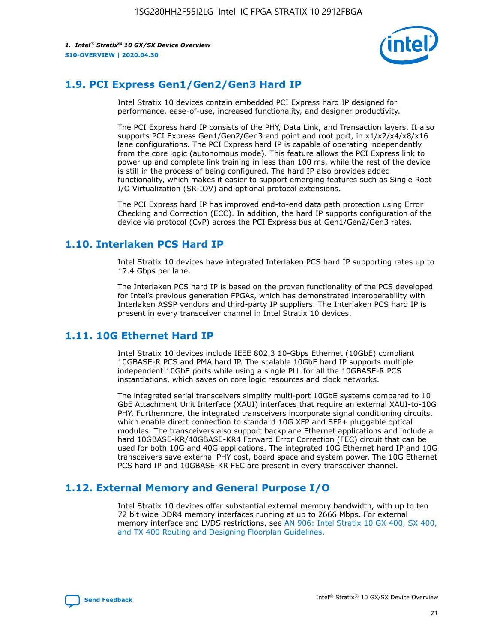

### **1.9. PCI Express Gen1/Gen2/Gen3 Hard IP**

Intel Stratix 10 devices contain embedded PCI Express hard IP designed for performance, ease-of-use, increased functionality, and designer productivity.

The PCI Express hard IP consists of the PHY, Data Link, and Transaction layers. It also supports PCI Express Gen1/Gen2/Gen3 end point and root port, in x1/x2/x4/x8/x16 lane configurations. The PCI Express hard IP is capable of operating independently from the core logic (autonomous mode). This feature allows the PCI Express link to power up and complete link training in less than 100 ms, while the rest of the device is still in the process of being configured. The hard IP also provides added functionality, which makes it easier to support emerging features such as Single Root I/O Virtualization (SR-IOV) and optional protocol extensions.

The PCI Express hard IP has improved end-to-end data path protection using Error Checking and Correction (ECC). In addition, the hard IP supports configuration of the device via protocol (CvP) across the PCI Express bus at Gen1/Gen2/Gen3 rates.

### **1.10. Interlaken PCS Hard IP**

Intel Stratix 10 devices have integrated Interlaken PCS hard IP supporting rates up to 17.4 Gbps per lane.

The Interlaken PCS hard IP is based on the proven functionality of the PCS developed for Intel's previous generation FPGAs, which has demonstrated interoperability with Interlaken ASSP vendors and third-party IP suppliers. The Interlaken PCS hard IP is present in every transceiver channel in Intel Stratix 10 devices.

### **1.11. 10G Ethernet Hard IP**

Intel Stratix 10 devices include IEEE 802.3 10-Gbps Ethernet (10GbE) compliant 10GBASE-R PCS and PMA hard IP. The scalable 10GbE hard IP supports multiple independent 10GbE ports while using a single PLL for all the 10GBASE-R PCS instantiations, which saves on core logic resources and clock networks.

The integrated serial transceivers simplify multi-port 10GbE systems compared to 10 GbE Attachment Unit Interface (XAUI) interfaces that require an external XAUI-to-10G PHY. Furthermore, the integrated transceivers incorporate signal conditioning circuits, which enable direct connection to standard 10G XFP and SFP+ pluggable optical modules. The transceivers also support backplane Ethernet applications and include a hard 10GBASE-KR/40GBASE-KR4 Forward Error Correction (FEC) circuit that can be used for both 10G and 40G applications. The integrated 10G Ethernet hard IP and 10G transceivers save external PHY cost, board space and system power. The 10G Ethernet PCS hard IP and 10GBASE-KR FEC are present in every transceiver channel.

### **1.12. External Memory and General Purpose I/O**

Intel Stratix 10 devices offer substantial external memory bandwidth, with up to ten 72 bit wide DDR4 memory interfaces running at up to 2666 Mbps. For external memory interface and LVDS restrictions, see [AN 906: Intel Stratix 10 GX 400, SX 400,](https://www.intel.com/content/www/us/en/programmable/documentation/sjf1574667190623.html#bft1574667627484) [and TX 400 Routing and Designing Floorplan Guidelines.](https://www.intel.com/content/www/us/en/programmable/documentation/sjf1574667190623.html#bft1574667627484)

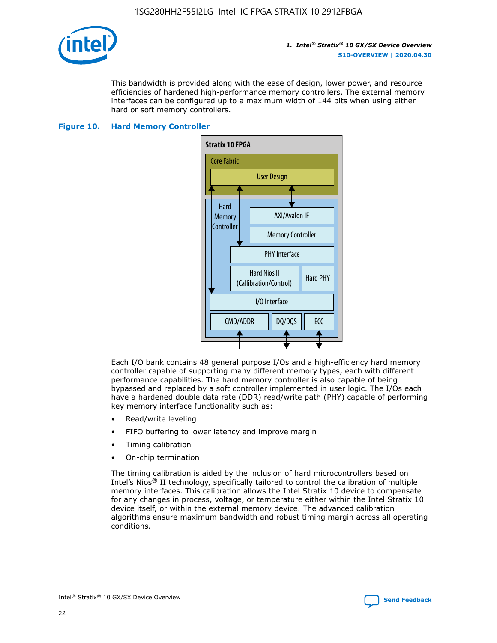

This bandwidth is provided along with the ease of design, lower power, and resource efficiencies of hardened high-performance memory controllers. The external memory interfaces can be configured up to a maximum width of 144 bits when using either hard or soft memory controllers.

#### **Figure 10. Hard Memory Controller**



Each I/O bank contains 48 general purpose I/Os and a high-efficiency hard memory controller capable of supporting many different memory types, each with different performance capabilities. The hard memory controller is also capable of being bypassed and replaced by a soft controller implemented in user logic. The I/Os each have a hardened double data rate (DDR) read/write path (PHY) capable of performing key memory interface functionality such as:

- Read/write leveling
- FIFO buffering to lower latency and improve margin
- Timing calibration
- On-chip termination

The timing calibration is aided by the inclusion of hard microcontrollers based on Intel's Nios® II technology, specifically tailored to control the calibration of multiple memory interfaces. This calibration allows the Intel Stratix 10 device to compensate for any changes in process, voltage, or temperature either within the Intel Stratix 10 device itself, or within the external memory device. The advanced calibration algorithms ensure maximum bandwidth and robust timing margin across all operating conditions.

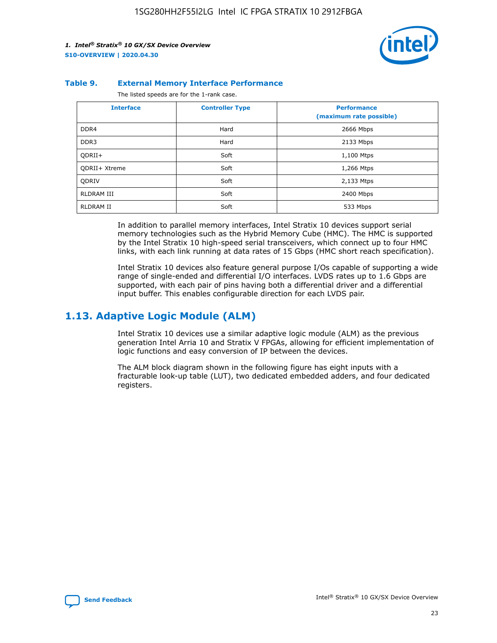

#### **Table 9. External Memory Interface Performance**

The listed speeds are for the 1-rank case.

| <b>Interface</b>     | <b>Controller Type</b> | <b>Performance</b><br>(maximum rate possible) |
|----------------------|------------------------|-----------------------------------------------|
| DDR4                 | Hard                   | 2666 Mbps                                     |
| DDR <sub>3</sub>     | Hard                   | 2133 Mbps                                     |
| QDRII+               | Soft                   | 1,100 Mtps                                    |
| <b>ODRII+ Xtreme</b> | Soft                   | 1,266 Mtps                                    |
| <b>ODRIV</b>         | Soft                   | 2,133 Mtps                                    |
| RLDRAM III           | Soft                   | 2400 Mbps                                     |
| <b>RLDRAM II</b>     | Soft                   | 533 Mbps                                      |

In addition to parallel memory interfaces, Intel Stratix 10 devices support serial memory technologies such as the Hybrid Memory Cube (HMC). The HMC is supported by the Intel Stratix 10 high-speed serial transceivers, which connect up to four HMC links, with each link running at data rates of 15 Gbps (HMC short reach specification).

Intel Stratix 10 devices also feature general purpose I/Os capable of supporting a wide range of single-ended and differential I/O interfaces. LVDS rates up to 1.6 Gbps are supported, with each pair of pins having both a differential driver and a differential input buffer. This enables configurable direction for each LVDS pair.

### **1.13. Adaptive Logic Module (ALM)**

Intel Stratix 10 devices use a similar adaptive logic module (ALM) as the previous generation Intel Arria 10 and Stratix V FPGAs, allowing for efficient implementation of logic functions and easy conversion of IP between the devices.

The ALM block diagram shown in the following figure has eight inputs with a fracturable look-up table (LUT), two dedicated embedded adders, and four dedicated registers.

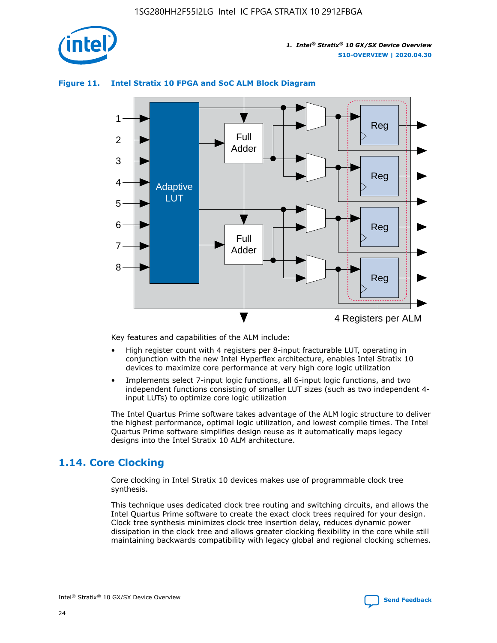

### **Figure 11. Intel Stratix 10 FPGA and SoC ALM Block Diagram**



Key features and capabilities of the ALM include:

- High register count with 4 registers per 8-input fracturable LUT, operating in conjunction with the new Intel Hyperflex architecture, enables Intel Stratix 10 devices to maximize core performance at very high core logic utilization
- Implements select 7-input logic functions, all 6-input logic functions, and two independent functions consisting of smaller LUT sizes (such as two independent 4 input LUTs) to optimize core logic utilization

The Intel Quartus Prime software takes advantage of the ALM logic structure to deliver the highest performance, optimal logic utilization, and lowest compile times. The Intel Quartus Prime software simplifies design reuse as it automatically maps legacy designs into the Intel Stratix 10 ALM architecture.

### **1.14. Core Clocking**

Core clocking in Intel Stratix 10 devices makes use of programmable clock tree synthesis.

This technique uses dedicated clock tree routing and switching circuits, and allows the Intel Quartus Prime software to create the exact clock trees required for your design. Clock tree synthesis minimizes clock tree insertion delay, reduces dynamic power dissipation in the clock tree and allows greater clocking flexibility in the core while still maintaining backwards compatibility with legacy global and regional clocking schemes.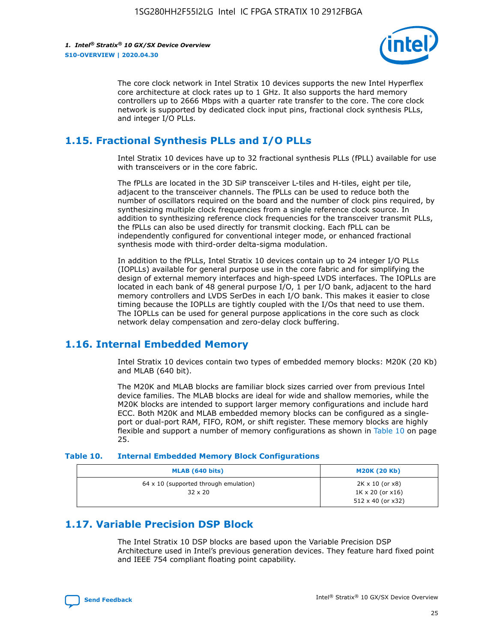

The core clock network in Intel Stratix 10 devices supports the new Intel Hyperflex core architecture at clock rates up to 1 GHz. It also supports the hard memory controllers up to 2666 Mbps with a quarter rate transfer to the core. The core clock network is supported by dedicated clock input pins, fractional clock synthesis PLLs, and integer I/O PLLs.

### **1.15. Fractional Synthesis PLLs and I/O PLLs**

Intel Stratix 10 devices have up to 32 fractional synthesis PLLs (fPLL) available for use with transceivers or in the core fabric.

The fPLLs are located in the 3D SiP transceiver L-tiles and H-tiles, eight per tile, adjacent to the transceiver channels. The fPLLs can be used to reduce both the number of oscillators required on the board and the number of clock pins required, by synthesizing multiple clock frequencies from a single reference clock source. In addition to synthesizing reference clock frequencies for the transceiver transmit PLLs, the fPLLs can also be used directly for transmit clocking. Each fPLL can be independently configured for conventional integer mode, or enhanced fractional synthesis mode with third-order delta-sigma modulation.

In addition to the fPLLs, Intel Stratix 10 devices contain up to 24 integer I/O PLLs (IOPLLs) available for general purpose use in the core fabric and for simplifying the design of external memory interfaces and high-speed LVDS interfaces. The IOPLLs are located in each bank of 48 general purpose I/O, 1 per I/O bank, adjacent to the hard memory controllers and LVDS SerDes in each I/O bank. This makes it easier to close timing because the IOPLLs are tightly coupled with the I/Os that need to use them. The IOPLLs can be used for general purpose applications in the core such as clock network delay compensation and zero-delay clock buffering.

### **1.16. Internal Embedded Memory**

Intel Stratix 10 devices contain two types of embedded memory blocks: M20K (20 Kb) and MLAB (640 bit).

The M20K and MLAB blocks are familiar block sizes carried over from previous Intel device families. The MLAB blocks are ideal for wide and shallow memories, while the M20K blocks are intended to support larger memory configurations and include hard ECC. Both M20K and MLAB embedded memory blocks can be configured as a singleport or dual-port RAM, FIFO, ROM, or shift register. These memory blocks are highly flexible and support a number of memory configurations as shown in Table 10 on page 25.

#### **Table 10. Internal Embedded Memory Block Configurations**

| MLAB (640 bits)                                                | <b>M20K (20 Kb)</b>                                                          |
|----------------------------------------------------------------|------------------------------------------------------------------------------|
| $64 \times 10$ (supported through emulation)<br>$32 \times 20$ | 2K x 10 (or x8)<br>$1K \times 20$ (or $x16$ )<br>$512 \times 40$ (or $x32$ ) |

### **1.17. Variable Precision DSP Block**

The Intel Stratix 10 DSP blocks are based upon the Variable Precision DSP Architecture used in Intel's previous generation devices. They feature hard fixed point and IEEE 754 compliant floating point capability.

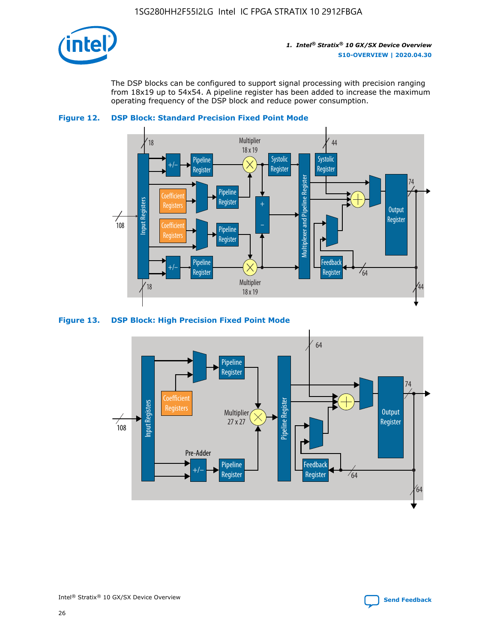

The DSP blocks can be configured to support signal processing with precision ranging from 18x19 up to 54x54. A pipeline register has been added to increase the maximum operating frequency of the DSP block and reduce power consumption.



#### **Figure 12. DSP Block: Standard Precision Fixed Point Mode**



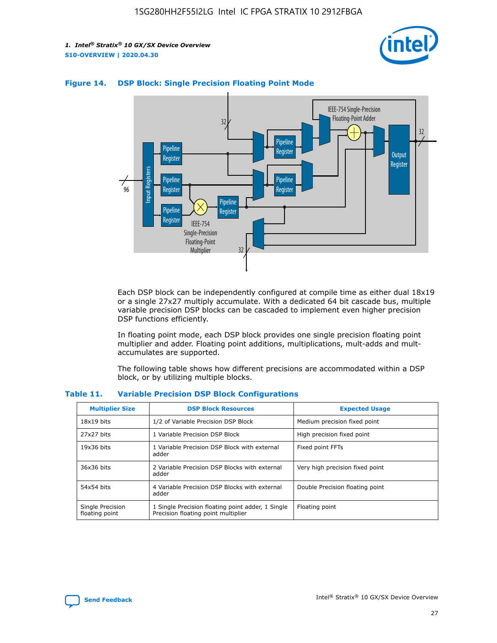



#### **Figure 14. DSP Block: Single Precision Floating Point Mode**

Each DSP block can be independently configured at compile time as either dual 18x19 or a single 27x27 multiply accumulate. With a dedicated 64 bit cascade bus, multiple variable precision DSP blocks can be cascaded to implement even higher precision DSP functions efficiently.

In floating point mode, each DSP block provides one single precision floating point multiplier and adder. Floating point additions, multiplications, mult-adds and multaccumulates are supported.

The following table shows how different precisions are accommodated within a DSP block, or by utilizing multiple blocks.

| <b>Multiplier Size</b>             | <b>DSP Block Resources</b>                                                               | <b>Expected Usage</b>           |
|------------------------------------|------------------------------------------------------------------------------------------|---------------------------------|
| $18x19$ bits                       | 1/2 of Variable Precision DSP Block                                                      | Medium precision fixed point    |
| 27x27 bits                         | 1 Variable Precision DSP Block                                                           | High precision fixed point      |
| $19x36$ bits                       | 1 Variable Precision DSP Block with external<br>adder                                    | Fixed point FFTs                |
| 36x36 bits                         | 2 Variable Precision DSP Blocks with external<br>adder                                   | Very high precision fixed point |
| 54x54 bits                         | 4 Variable Precision DSP Blocks with external<br>adder                                   | Double Precision floating point |
| Single Precision<br>floating point | 1 Single Precision floating point adder, 1 Single<br>Precision floating point multiplier | Floating point                  |

#### **Table 11. Variable Precision DSP Block Configurations**

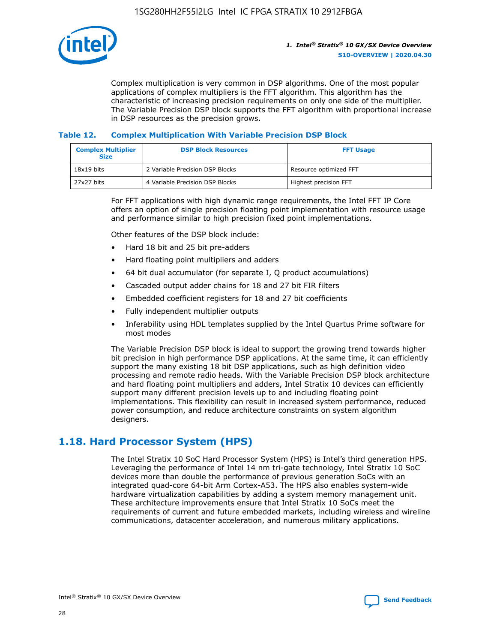

Complex multiplication is very common in DSP algorithms. One of the most popular applications of complex multipliers is the FFT algorithm. This algorithm has the characteristic of increasing precision requirements on only one side of the multiplier. The Variable Precision DSP block supports the FFT algorithm with proportional increase in DSP resources as the precision grows.

### **Table 12. Complex Multiplication With Variable Precision DSP Block**

| <b>Complex Multiplier</b><br><b>Size</b> | <b>DSP Block Resources</b>      | <b>FFT Usage</b>       |
|------------------------------------------|---------------------------------|------------------------|
| $18x19$ bits                             | 2 Variable Precision DSP Blocks | Resource optimized FFT |
| 27x27 bits                               | 4 Variable Precision DSP Blocks | Highest precision FFT  |

For FFT applications with high dynamic range requirements, the Intel FFT IP Core offers an option of single precision floating point implementation with resource usage and performance similar to high precision fixed point implementations.

Other features of the DSP block include:

- Hard 18 bit and 25 bit pre-adders
- Hard floating point multipliers and adders
- 64 bit dual accumulator (for separate I, Q product accumulations)
- Cascaded output adder chains for 18 and 27 bit FIR filters
- Embedded coefficient registers for 18 and 27 bit coefficients
- Fully independent multiplier outputs
- Inferability using HDL templates supplied by the Intel Quartus Prime software for most modes

The Variable Precision DSP block is ideal to support the growing trend towards higher bit precision in high performance DSP applications. At the same time, it can efficiently support the many existing 18 bit DSP applications, such as high definition video processing and remote radio heads. With the Variable Precision DSP block architecture and hard floating point multipliers and adders, Intel Stratix 10 devices can efficiently support many different precision levels up to and including floating point implementations. This flexibility can result in increased system performance, reduced power consumption, and reduce architecture constraints on system algorithm designers.

### **1.18. Hard Processor System (HPS)**

The Intel Stratix 10 SoC Hard Processor System (HPS) is Intel's third generation HPS. Leveraging the performance of Intel 14 nm tri-gate technology, Intel Stratix 10 SoC devices more than double the performance of previous generation SoCs with an integrated quad-core 64-bit Arm Cortex-A53. The HPS also enables system-wide hardware virtualization capabilities by adding a system memory management unit. These architecture improvements ensure that Intel Stratix 10 SoCs meet the requirements of current and future embedded markets, including wireless and wireline communications, datacenter acceleration, and numerous military applications.

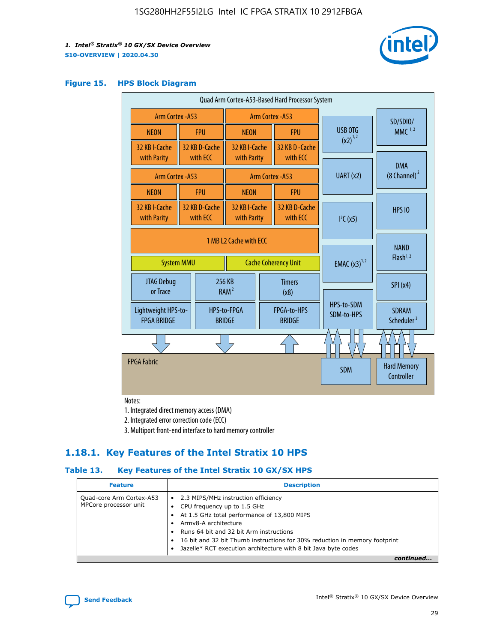

#### **Figure 15. HPS Block Diagram**

| Quad Arm Cortex-A53-Based Hard Processor System |                        |                           |                                           |                             |                              |                         |                          |                                        |
|-------------------------------------------------|------------------------|---------------------------|-------------------------------------------|-----------------------------|------------------------------|-------------------------|--------------------------|----------------------------------------|
| <b>Arm Cortex - A53</b>                         |                        |                           | Arm Cortex - A53                          |                             |                              |                         | SD/SDIO/                 |                                        |
| <b>NEON</b>                                     |                        | <b>FPU</b>                | <b>NEON</b>                               |                             | <b>FPU</b>                   |                         | USB OTG                  | $MMC$ <sup>1,2</sup>                   |
| 32 KB I-Cache                                   |                        | 32 KB D-Cache             | 32 KB I-Cache                             |                             | 32 KB D - Cache              |                         | $(x2)^{1,2}$             |                                        |
| with Parity                                     |                        | with ECC                  | with Parity                               |                             | with ECC                     |                         |                          | <b>DMA</b>                             |
| Arm Cortex - A53                                |                        |                           | UART (x2)<br>Arm Cortex - A53             |                             |                              | $(8 \text{ Channel})^2$ |                          |                                        |
| <b>NEON</b>                                     |                        | <b>FPU</b>                | <b>NEON</b>                               |                             | <b>FPU</b>                   |                         |                          |                                        |
| 32 KB I-Cache<br>with Parity                    |                        | 32 KB D-Cache<br>with ECC | 32 KB I-Cache<br>with Parity              |                             | 32 KB D-Cache<br>with ECC    |                         | I <sup>2</sup> C(x5)     | <b>HPS 10</b>                          |
|                                                 | 1 MB L2 Cache with ECC |                           |                                           |                             |                              |                         |                          |                                        |
| <b>System MMU</b>                               |                        |                           |                                           | <b>Cache Coherency Unit</b> |                              |                         | <b>EMAC</b> $(x3)^{1,2}$ | <b>NAND</b><br>Flash <sup>1,2</sup>    |
| JTAG Debug<br>or Trace                          |                        | 256 KB                    | <b>Timers</b><br>RAM <sup>2</sup><br>(x8) |                             |                              |                         | SPI(x4)                  |                                        |
| Lightweight HPS-to-<br><b>FPGA BRIDGE</b>       |                        |                           | HPS-to-FPGA<br><b>BRIDGE</b>              |                             | FPGA-to-HPS<br><b>BRIDGE</b> |                         | HPS-to-SDM<br>SDM-to-HPS | <b>SDRAM</b><br>Scheduler <sup>3</sup> |
|                                                 |                        |                           |                                           |                             |                              |                         |                          |                                        |
| <b>FPGA Fabric</b>                              |                        |                           |                                           |                             |                              |                         | <b>SDM</b>               | <b>Hard Memory</b><br>Controller       |
|                                                 |                        |                           |                                           |                             |                              |                         |                          |                                        |

Notes:

1. Integrated direct memory access (DMA)

2. Integrated error correction code (ECC)

3. Multiport front-end interface to hard memory controller

### **1.18.1. Key Features of the Intel Stratix 10 HPS**

### **Table 13. Key Features of the Intel Stratix 10 GX/SX HPS**

| <b>Feature</b>                                    | <b>Description</b>                                                                                                                                                                                                                                                                                                                                     |
|---------------------------------------------------|--------------------------------------------------------------------------------------------------------------------------------------------------------------------------------------------------------------------------------------------------------------------------------------------------------------------------------------------------------|
| Quad-core Arm Cortex-A53<br>MPCore processor unit | 2.3 MIPS/MHz instruction efficiency<br>$\bullet$<br>CPU frequency up to 1.5 GHz<br>٠<br>At 1.5 GHz total performance of 13,800 MIPS<br>Army8-A architecture<br>Runs 64 bit and 32 bit Arm instructions<br>16 bit and 32 bit Thumb instructions for 30% reduction in memory footprint<br>Jazelle* RCT execution architecture with 8 bit Java byte codes |
|                                                   |                                                                                                                                                                                                                                                                                                                                                        |

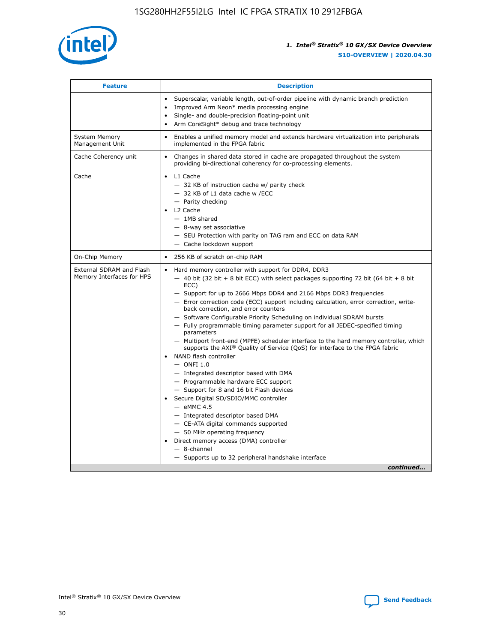

| <b>Feature</b>                                        | <b>Description</b>                                                                                                                                                                                                                                                                                                                                                                                                                                                                                                                                                                                                                                                                                                                                                                                                                                                                                                                                                                                                                                                                                                                                                                                               |
|-------------------------------------------------------|------------------------------------------------------------------------------------------------------------------------------------------------------------------------------------------------------------------------------------------------------------------------------------------------------------------------------------------------------------------------------------------------------------------------------------------------------------------------------------------------------------------------------------------------------------------------------------------------------------------------------------------------------------------------------------------------------------------------------------------------------------------------------------------------------------------------------------------------------------------------------------------------------------------------------------------------------------------------------------------------------------------------------------------------------------------------------------------------------------------------------------------------------------------------------------------------------------------|
|                                                       | Superscalar, variable length, out-of-order pipeline with dynamic branch prediction<br>Improved Arm Neon* media processing engine<br>Single- and double-precision floating-point unit<br>Arm CoreSight* debug and trace technology<br>٠                                                                                                                                                                                                                                                                                                                                                                                                                                                                                                                                                                                                                                                                                                                                                                                                                                                                                                                                                                           |
| <b>System Memory</b><br>Management Unit               | Enables a unified memory model and extends hardware virtualization into peripherals<br>implemented in the FPGA fabric                                                                                                                                                                                                                                                                                                                                                                                                                                                                                                                                                                                                                                                                                                                                                                                                                                                                                                                                                                                                                                                                                            |
| Cache Coherency unit                                  | Changes in shared data stored in cache are propagated throughout the system<br>$\bullet$<br>providing bi-directional coherency for co-processing elements.                                                                                                                                                                                                                                                                                                                                                                                                                                                                                                                                                                                                                                                                                                                                                                                                                                                                                                                                                                                                                                                       |
| Cache                                                 | L1 Cache<br>$\bullet$<br>- 32 KB of instruction cache w/ parity check<br>- 32 KB of L1 data cache w /ECC<br>- Parity checking<br>L <sub>2</sub> Cache<br>$-$ 1MB shared<br>$-$ 8-way set associative<br>- SEU Protection with parity on TAG ram and ECC on data RAM<br>- Cache lockdown support                                                                                                                                                                                                                                                                                                                                                                                                                                                                                                                                                                                                                                                                                                                                                                                                                                                                                                                  |
| On-Chip Memory                                        | 256 KB of scratch on-chip RAM                                                                                                                                                                                                                                                                                                                                                                                                                                                                                                                                                                                                                                                                                                                                                                                                                                                                                                                                                                                                                                                                                                                                                                                    |
| External SDRAM and Flash<br>Memory Interfaces for HPS | Hard memory controller with support for DDR4, DDR3<br>$\bullet$<br>$-$ 40 bit (32 bit + 8 bit ECC) with select packages supporting 72 bit (64 bit + 8 bit<br>ECC)<br>- Support for up to 2666 Mbps DDR4 and 2166 Mbps DDR3 frequencies<br>- Error correction code (ECC) support including calculation, error correction, write-<br>back correction, and error counters<br>- Software Configurable Priority Scheduling on individual SDRAM bursts<br>- Fully programmable timing parameter support for all JEDEC-specified timing<br>parameters<br>- Multiport front-end (MPFE) scheduler interface to the hard memory controller, which<br>supports the $AXI^{\circledR}$ Quality of Service (QoS) for interface to the FPGA fabric<br>NAND flash controller<br>$-$ ONFI 1.0<br>- Integrated descriptor based with DMA<br>- Programmable hardware ECC support<br>- Support for 8 and 16 bit Flash devices<br>Secure Digital SD/SDIO/MMC controller<br>$-$ eMMC 4.5<br>- Integrated descriptor based DMA<br>- CE-ATA digital commands supported<br>- 50 MHz operating frequency<br>Direct memory access (DMA) controller<br>٠<br>$-$ 8-channel<br>- Supports up to 32 peripheral handshake interface<br>continued |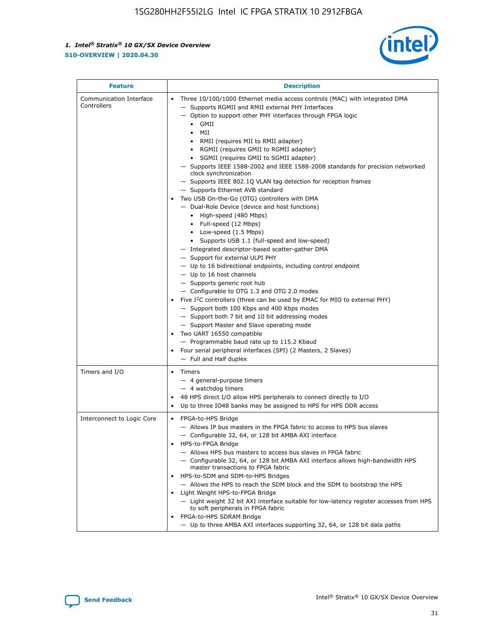

| <b>Feature</b>                         | <b>Description</b>                                                                                                                                                                                                                                                                                                                                                                                                                                                                                                                                                                                                                                                                                                                                                                                                                                                                                                                                                                                                                                                                                                                                                                                                                                                                                                                                                                                                                                                                                                     |
|----------------------------------------|------------------------------------------------------------------------------------------------------------------------------------------------------------------------------------------------------------------------------------------------------------------------------------------------------------------------------------------------------------------------------------------------------------------------------------------------------------------------------------------------------------------------------------------------------------------------------------------------------------------------------------------------------------------------------------------------------------------------------------------------------------------------------------------------------------------------------------------------------------------------------------------------------------------------------------------------------------------------------------------------------------------------------------------------------------------------------------------------------------------------------------------------------------------------------------------------------------------------------------------------------------------------------------------------------------------------------------------------------------------------------------------------------------------------------------------------------------------------------------------------------------------------|
| Communication Interface<br>Controllers | Three 10/100/1000 Ethernet media access controls (MAC) with integrated DMA<br>$\bullet$<br>- Supports RGMII and RMII external PHY Interfaces<br>- Option to support other PHY interfaces through FPGA logic<br>$\bullet$ GMII<br>MII<br>$\bullet$<br>RMII (requires MII to RMII adapter)<br>$\bullet$<br>• RGMII (requires GMII to RGMII adapter)<br>SGMII (requires GMII to SGMII adapter)<br>- Supports IEEE 1588-2002 and IEEE 1588-2008 standards for precision networked<br>clock synchronization<br>- Supports IEEE 802.1Q VLAN tag detection for reception frames<br>- Supports Ethernet AVB standard<br>Two USB On-the-Go (OTG) controllers with DMA<br>- Dual-Role Device (device and host functions)<br>• High-speed (480 Mbps)<br>• Full-speed (12 Mbps)<br>• Low-speed (1.5 Mbps)<br>• Supports USB 1.1 (full-speed and low-speed)<br>- Integrated descriptor-based scatter-gather DMA<br>- Support for external ULPI PHY<br>- Up to 16 bidirectional endpoints, including control endpoint<br>$-$ Up to 16 host channels<br>- Supports generic root hub<br>- Configurable to OTG 1.3 and OTG 2.0 modes<br>Five $I2C$ controllers (three can be used by EMAC for MIO to external PHY)<br>- Support both 100 Kbps and 400 Kbps modes<br>- Support both 7 bit and 10 bit addressing modes<br>- Support Master and Slave operating mode<br>Two UART 16550 compatible<br>- Programmable baud rate up to 115.2 Kbaud<br>Four serial peripheral interfaces (SPI) (2 Masters, 2 Slaves)<br>- Full and Half duplex |
| Timers and I/O                         | Timers<br>$\bullet$<br>- 4 general-purpose timers<br>$-4$ watchdog timers<br>48 HPS direct I/O allow HPS peripherals to connect directly to I/O<br>Up to three IO48 banks may be assigned to HPS for HPS DDR access                                                                                                                                                                                                                                                                                                                                                                                                                                                                                                                                                                                                                                                                                                                                                                                                                                                                                                                                                                                                                                                                                                                                                                                                                                                                                                    |
| Interconnect to Logic Core             | • FPGA-to-HPS Bridge<br>- Allows IP bus masters in the FPGA fabric to access to HPS bus slaves<br>- Configurable 32, 64, or 128 bit AMBA AXI interface<br>HPS-to-FPGA Bridge<br>- Allows HPS bus masters to access bus slaves in FPGA fabric<br>- Configurable 32, 64, or 128 bit AMBA AXI interface allows high-bandwidth HPS<br>master transactions to FPGA fabric<br>HPS-to-SDM and SDM-to-HPS Bridges<br>- Allows the HPS to reach the SDM block and the SDM to bootstrap the HPS<br>Light Weight HPS-to-FPGA Bridge<br>- Light weight 32 bit AXI interface suitable for low-latency register accesses from HPS<br>to soft peripherals in FPGA fabric<br>FPGA-to-HPS SDRAM Bridge<br>- Up to three AMBA AXI interfaces supporting 32, 64, or 128 bit data paths                                                                                                                                                                                                                                                                                                                                                                                                                                                                                                                                                                                                                                                                                                                                                    |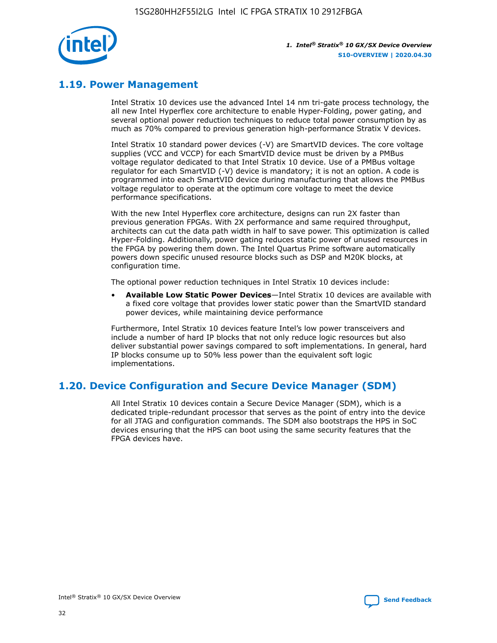

### **1.19. Power Management**

Intel Stratix 10 devices use the advanced Intel 14 nm tri-gate process technology, the all new Intel Hyperflex core architecture to enable Hyper-Folding, power gating, and several optional power reduction techniques to reduce total power consumption by as much as 70% compared to previous generation high-performance Stratix V devices.

Intel Stratix 10 standard power devices (-V) are SmartVID devices. The core voltage supplies (VCC and VCCP) for each SmartVID device must be driven by a PMBus voltage regulator dedicated to that Intel Stratix 10 device. Use of a PMBus voltage regulator for each SmartVID (-V) device is mandatory; it is not an option. A code is programmed into each SmartVID device during manufacturing that allows the PMBus voltage regulator to operate at the optimum core voltage to meet the device performance specifications.

With the new Intel Hyperflex core architecture, designs can run 2X faster than previous generation FPGAs. With 2X performance and same required throughput, architects can cut the data path width in half to save power. This optimization is called Hyper-Folding. Additionally, power gating reduces static power of unused resources in the FPGA by powering them down. The Intel Quartus Prime software automatically powers down specific unused resource blocks such as DSP and M20K blocks, at configuration time.

The optional power reduction techniques in Intel Stratix 10 devices include:

• **Available Low Static Power Devices**—Intel Stratix 10 devices are available with a fixed core voltage that provides lower static power than the SmartVID standard power devices, while maintaining device performance

Furthermore, Intel Stratix 10 devices feature Intel's low power transceivers and include a number of hard IP blocks that not only reduce logic resources but also deliver substantial power savings compared to soft implementations. In general, hard IP blocks consume up to 50% less power than the equivalent soft logic implementations.

### **1.20. Device Configuration and Secure Device Manager (SDM)**

All Intel Stratix 10 devices contain a Secure Device Manager (SDM), which is a dedicated triple-redundant processor that serves as the point of entry into the device for all JTAG and configuration commands. The SDM also bootstraps the HPS in SoC devices ensuring that the HPS can boot using the same security features that the FPGA devices have.

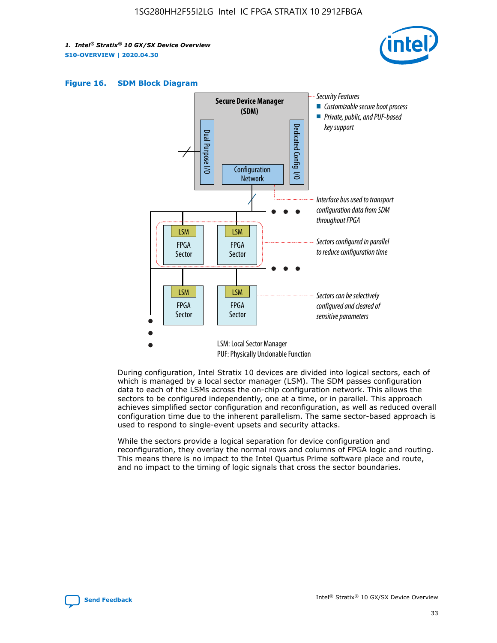





During configuration, Intel Stratix 10 devices are divided into logical sectors, each of which is managed by a local sector manager (LSM). The SDM passes configuration data to each of the LSMs across the on-chip configuration network. This allows the sectors to be configured independently, one at a time, or in parallel. This approach achieves simplified sector configuration and reconfiguration, as well as reduced overall configuration time due to the inherent parallelism. The same sector-based approach is used to respond to single-event upsets and security attacks.

While the sectors provide a logical separation for device configuration and reconfiguration, they overlay the normal rows and columns of FPGA logic and routing. This means there is no impact to the Intel Quartus Prime software place and route, and no impact to the timing of logic signals that cross the sector boundaries.

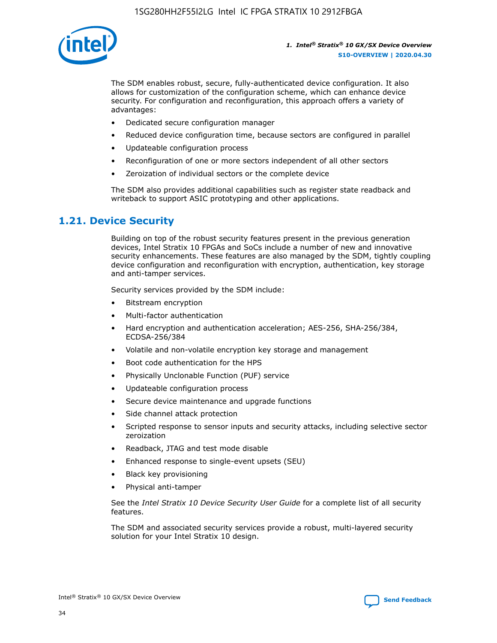

The SDM enables robust, secure, fully-authenticated device configuration. It also allows for customization of the configuration scheme, which can enhance device security. For configuration and reconfiguration, this approach offers a variety of advantages:

- Dedicated secure configuration manager
- Reduced device configuration time, because sectors are configured in parallel
- Updateable configuration process
- Reconfiguration of one or more sectors independent of all other sectors
- Zeroization of individual sectors or the complete device

The SDM also provides additional capabilities such as register state readback and writeback to support ASIC prototyping and other applications.

### **1.21. Device Security**

Building on top of the robust security features present in the previous generation devices, Intel Stratix 10 FPGAs and SoCs include a number of new and innovative security enhancements. These features are also managed by the SDM, tightly coupling device configuration and reconfiguration with encryption, authentication, key storage and anti-tamper services.

Security services provided by the SDM include:

- Bitstream encryption
- Multi-factor authentication
- Hard encryption and authentication acceleration; AES-256, SHA-256/384, ECDSA-256/384
- Volatile and non-volatile encryption key storage and management
- Boot code authentication for the HPS
- Physically Unclonable Function (PUF) service
- Updateable configuration process
- Secure device maintenance and upgrade functions
- Side channel attack protection
- Scripted response to sensor inputs and security attacks, including selective sector zeroization
- Readback, JTAG and test mode disable
- Enhanced response to single-event upsets (SEU)
- Black key provisioning
- Physical anti-tamper

See the *Intel Stratix 10 Device Security User Guide* for a complete list of all security features.

The SDM and associated security services provide a robust, multi-layered security solution for your Intel Stratix 10 design.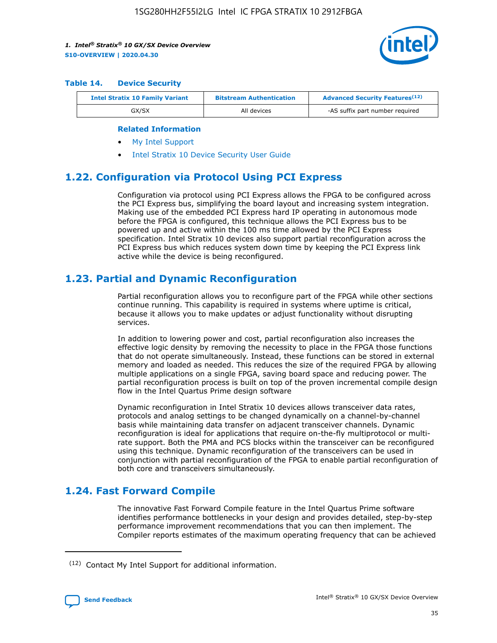

#### **Table 14. Device Security**

| <b>Intel Stratix 10 Family Variant</b> | <b>Bitstream Authentication</b> | <b>Advanced Security Features</b> <sup>(12)</sup> |
|----------------------------------------|---------------------------------|---------------------------------------------------|
| GX/SX                                  | All devices                     | -AS suffix part number required                   |

#### **Related Information**

- [My Intel Support](https://www.intel.com/content/www/us/en/programmable/my-intel/mal-home.html)
- [Intel Stratix 10 Device Security User Guide](https://www.intel.com/content/www/us/en/programmable/documentation/ndq1483601370898.html#wcd1483611014402)

### **1.22. Configuration via Protocol Using PCI Express**

Configuration via protocol using PCI Express allows the FPGA to be configured across the PCI Express bus, simplifying the board layout and increasing system integration. Making use of the embedded PCI Express hard IP operating in autonomous mode before the FPGA is configured, this technique allows the PCI Express bus to be powered up and active within the 100 ms time allowed by the PCI Express specification. Intel Stratix 10 devices also support partial reconfiguration across the PCI Express bus which reduces system down time by keeping the PCI Express link active while the device is being reconfigured.

### **1.23. Partial and Dynamic Reconfiguration**

Partial reconfiguration allows you to reconfigure part of the FPGA while other sections continue running. This capability is required in systems where uptime is critical, because it allows you to make updates or adjust functionality without disrupting services.

In addition to lowering power and cost, partial reconfiguration also increases the effective logic density by removing the necessity to place in the FPGA those functions that do not operate simultaneously. Instead, these functions can be stored in external memory and loaded as needed. This reduces the size of the required FPGA by allowing multiple applications on a single FPGA, saving board space and reducing power. The partial reconfiguration process is built on top of the proven incremental compile design flow in the Intel Quartus Prime design software

Dynamic reconfiguration in Intel Stratix 10 devices allows transceiver data rates, protocols and analog settings to be changed dynamically on a channel-by-channel basis while maintaining data transfer on adjacent transceiver channels. Dynamic reconfiguration is ideal for applications that require on-the-fly multiprotocol or multirate support. Both the PMA and PCS blocks within the transceiver can be reconfigured using this technique. Dynamic reconfiguration of the transceivers can be used in conjunction with partial reconfiguration of the FPGA to enable partial reconfiguration of both core and transceivers simultaneously.

### **1.24. Fast Forward Compile**

The innovative Fast Forward Compile feature in the Intel Quartus Prime software identifies performance bottlenecks in your design and provides detailed, step-by-step performance improvement recommendations that you can then implement. The Compiler reports estimates of the maximum operating frequency that can be achieved

<sup>(12)</sup> Contact My Intel Support for additional information.

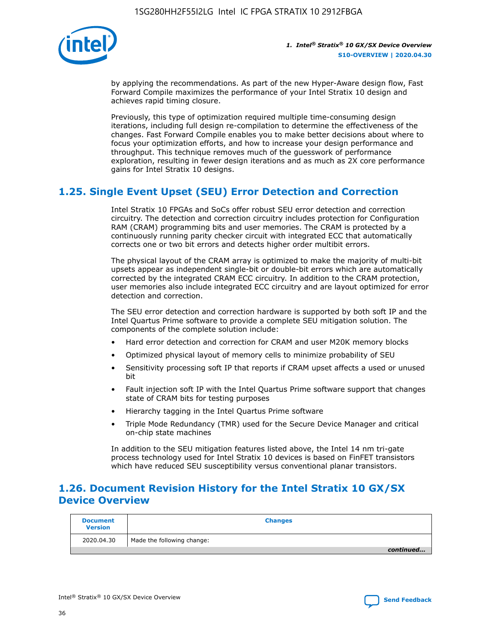

by applying the recommendations. As part of the new Hyper-Aware design flow, Fast Forward Compile maximizes the performance of your Intel Stratix 10 design and achieves rapid timing closure.

Previously, this type of optimization required multiple time-consuming design iterations, including full design re-compilation to determine the effectiveness of the changes. Fast Forward Compile enables you to make better decisions about where to focus your optimization efforts, and how to increase your design performance and throughput. This technique removes much of the guesswork of performance exploration, resulting in fewer design iterations and as much as 2X core performance gains for Intel Stratix 10 designs.

### **1.25. Single Event Upset (SEU) Error Detection and Correction**

Intel Stratix 10 FPGAs and SoCs offer robust SEU error detection and correction circuitry. The detection and correction circuitry includes protection for Configuration RAM (CRAM) programming bits and user memories. The CRAM is protected by a continuously running parity checker circuit with integrated ECC that automatically corrects one or two bit errors and detects higher order multibit errors.

The physical layout of the CRAM array is optimized to make the majority of multi-bit upsets appear as independent single-bit or double-bit errors which are automatically corrected by the integrated CRAM ECC circuitry. In addition to the CRAM protection, user memories also include integrated ECC circuitry and are layout optimized for error detection and correction.

The SEU error detection and correction hardware is supported by both soft IP and the Intel Quartus Prime software to provide a complete SEU mitigation solution. The components of the complete solution include:

- Hard error detection and correction for CRAM and user M20K memory blocks
- Optimized physical layout of memory cells to minimize probability of SEU
- Sensitivity processing soft IP that reports if CRAM upset affects a used or unused bit
- Fault injection soft IP with the Intel Quartus Prime software support that changes state of CRAM bits for testing purposes
- Hierarchy tagging in the Intel Quartus Prime software
- Triple Mode Redundancy (TMR) used for the Secure Device Manager and critical on-chip state machines

In addition to the SEU mitigation features listed above, the Intel 14 nm tri-gate process technology used for Intel Stratix 10 devices is based on FinFET transistors which have reduced SEU susceptibility versus conventional planar transistors.

### **1.26. Document Revision History for the Intel Stratix 10 GX/SX Device Overview**

| <b>Document</b><br><b>Version</b> | <b>Changes</b>             |
|-----------------------------------|----------------------------|
| 2020.04.30                        | Made the following change: |
|                                   | continued                  |

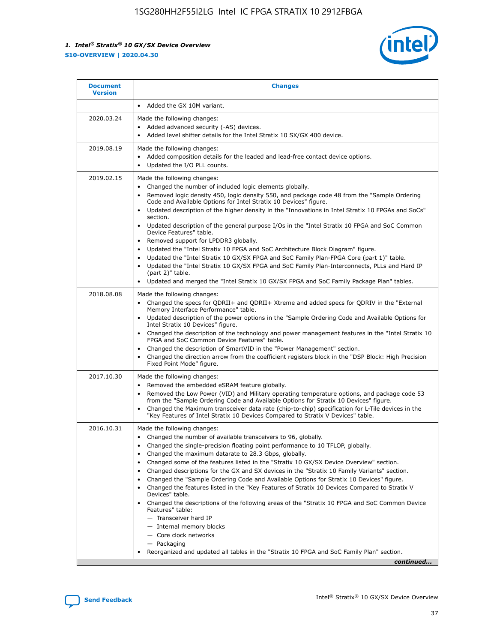

| <b>Document</b><br><b>Version</b> | <b>Changes</b>                                                                                                                                                                                                                                                                                                                                                                                                                                                                                                                                                                                                                                                                                                                                                                                                                                                                                                                                                                                 |
|-----------------------------------|------------------------------------------------------------------------------------------------------------------------------------------------------------------------------------------------------------------------------------------------------------------------------------------------------------------------------------------------------------------------------------------------------------------------------------------------------------------------------------------------------------------------------------------------------------------------------------------------------------------------------------------------------------------------------------------------------------------------------------------------------------------------------------------------------------------------------------------------------------------------------------------------------------------------------------------------------------------------------------------------|
|                                   | Added the GX 10M variant.                                                                                                                                                                                                                                                                                                                                                                                                                                                                                                                                                                                                                                                                                                                                                                                                                                                                                                                                                                      |
| 2020.03.24                        | Made the following changes:<br>Added advanced security (-AS) devices.<br>Added level shifter details for the Intel Stratix 10 SX/GX 400 device.                                                                                                                                                                                                                                                                                                                                                                                                                                                                                                                                                                                                                                                                                                                                                                                                                                                |
| 2019.08.19                        | Made the following changes:<br>Added composition details for the leaded and lead-free contact device options.<br>Updated the I/O PLL counts.                                                                                                                                                                                                                                                                                                                                                                                                                                                                                                                                                                                                                                                                                                                                                                                                                                                   |
| 2019.02.15                        | Made the following changes:<br>Changed the number of included logic elements globally.<br>Removed logic density 450, logic density 550, and package code 48 from the "Sample Ordering<br>$\bullet$<br>Code and Available Options for Intel Stratix 10 Devices" figure.<br>Updated description of the higher density in the "Innovations in Intel Stratix 10 FPGAs and SoCs"<br>section.<br>Updated description of the general purpose I/Os in the "Intel Stratix 10 FPGA and SoC Common<br>$\bullet$<br>Device Features" table.<br>Removed support for LPDDR3 globally.<br>Updated the "Intel Stratix 10 FPGA and SoC Architecture Block Diagram" figure.<br>$\bullet$<br>Updated the "Intel Stratix 10 GX/SX FPGA and SoC Family Plan-FPGA Core (part 1)" table.<br>$\bullet$<br>Updated the "Intel Stratix 10 GX/SX FPGA and SoC Family Plan-Interconnects, PLLs and Hard IP<br>(part 2)" table.<br>Updated and merged the "Intel Stratix 10 GX/SX FPGA and SoC Family Package Plan" tables. |
| 2018.08.08                        | Made the following changes:<br>Changed the specs for QDRII+ and QDRII+ Xtreme and added specs for QDRIV in the "External<br>$\bullet$<br>Memory Interface Performance" table.<br>Updated description of the power options in the "Sample Ordering Code and Available Options for<br>Intel Stratix 10 Devices" figure.<br>Changed the description of the technology and power management features in the "Intel Stratix 10<br>FPGA and SoC Common Device Features" table.<br>Changed the description of SmartVID in the "Power Management" section.<br>Changed the direction arrow from the coefficient registers block in the "DSP Block: High Precision<br>Fixed Point Mode" figure.                                                                                                                                                                                                                                                                                                          |
| 2017.10.30                        | Made the following changes:<br>Removed the embedded eSRAM feature globally.<br>$\bullet$<br>Removed the Low Power (VID) and Military operating temperature options, and package code 53<br>from the "Sample Ordering Code and Available Options for Stratix 10 Devices" figure.<br>Changed the Maximum transceiver data rate (chip-to-chip) specification for L-Tile devices in the<br>"Key Features of Intel Stratix 10 Devices Compared to Stratix V Devices" table.                                                                                                                                                                                                                                                                                                                                                                                                                                                                                                                         |
| 2016.10.31                        | Made the following changes:<br>Changed the number of available transceivers to 96, globally.<br>Changed the single-precision floating point performance to 10 TFLOP, globally.<br>Changed the maximum datarate to 28.3 Gbps, globally.<br>Changed some of the features listed in the "Stratix 10 GX/SX Device Overview" section.<br>$\bullet$<br>Changed descriptions for the GX and SX devices in the "Stratix 10 Family Variants" section.<br>٠<br>Changed the "Sample Ordering Code and Available Options for Stratix 10 Devices" figure.<br>Changed the features listed in the "Key Features of Stratix 10 Devices Compared to Stratix V<br>Devices" table.<br>Changed the descriptions of the following areas of the "Stratix 10 FPGA and SoC Common Device<br>Features" table:<br>- Transceiver hard IP<br>- Internal memory blocks<br>- Core clock networks<br>- Packaging<br>Reorganized and updated all tables in the "Stratix 10 FPGA and SoC Family Plan" section.                  |
|                                   | continued                                                                                                                                                                                                                                                                                                                                                                                                                                                                                                                                                                                                                                                                                                                                                                                                                                                                                                                                                                                      |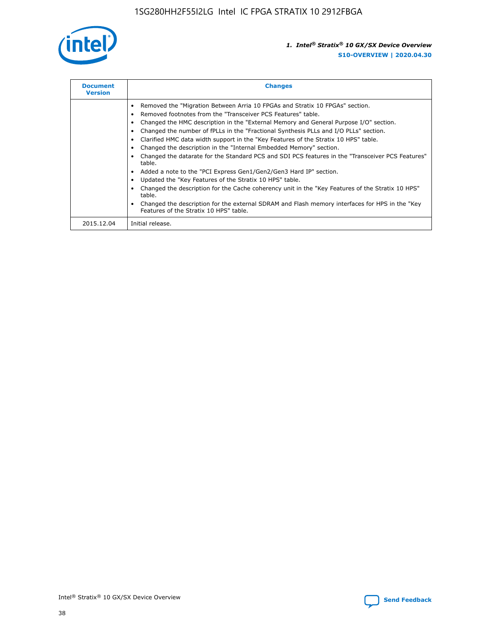

| <b>Document</b><br><b>Version</b> | <b>Changes</b>                                                                                                                                                                                                                                                                                                                                                                                                                                                                                                                                                                                                                                                                                                                                                                                                                                                                                                                                                                                     |
|-----------------------------------|----------------------------------------------------------------------------------------------------------------------------------------------------------------------------------------------------------------------------------------------------------------------------------------------------------------------------------------------------------------------------------------------------------------------------------------------------------------------------------------------------------------------------------------------------------------------------------------------------------------------------------------------------------------------------------------------------------------------------------------------------------------------------------------------------------------------------------------------------------------------------------------------------------------------------------------------------------------------------------------------------|
|                                   | Removed the "Migration Between Arria 10 FPGAs and Stratix 10 FPGAs" section.<br>Removed footnotes from the "Transceiver PCS Features" table.<br>Changed the HMC description in the "External Memory and General Purpose I/O" section.<br>Changed the number of fPLLs in the "Fractional Synthesis PLLs and I/O PLLs" section.<br>Clarified HMC data width support in the "Key Features of the Stratix 10 HPS" table.<br>Changed the description in the "Internal Embedded Memory" section.<br>Changed the datarate for the Standard PCS and SDI PCS features in the "Transceiver PCS Features"<br>table.<br>Added a note to the "PCI Express Gen1/Gen2/Gen3 Hard IP" section.<br>Updated the "Key Features of the Stratix 10 HPS" table.<br>Changed the description for the Cache coherency unit in the "Key Features of the Stratix 10 HPS"<br>table.<br>Changed the description for the external SDRAM and Flash memory interfaces for HPS in the "Key<br>Features of the Stratix 10 HPS" table. |
| 2015.12.04                        | Initial release.                                                                                                                                                                                                                                                                                                                                                                                                                                                                                                                                                                                                                                                                                                                                                                                                                                                                                                                                                                                   |